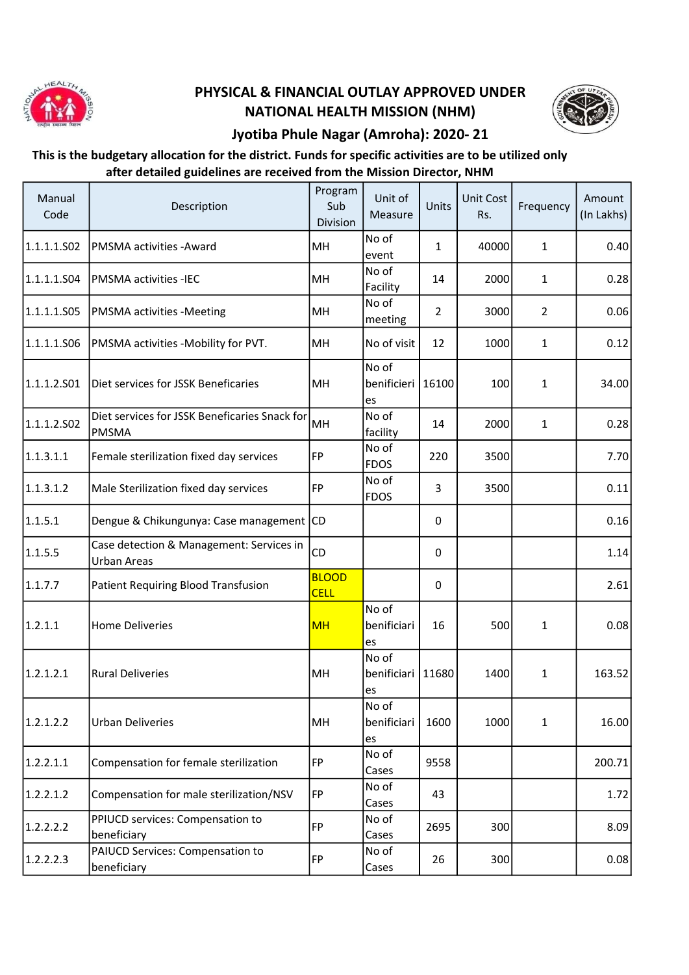

## PHYSICAL & FINANCIAL OUTLAY APPROVED UNDER NATIONAL HEALTH MISSION (NHM)



## Jyotiba Phule Nagar (Amroha): 2020- 21

## This is the budgetary allocation for the district. Funds for specific activities are to be utilized only after detailed guidelines are received from the Mission Director, NHM

| Manual<br>Code | Description                                                    | Program<br>Sub<br>Division  | Unit of<br>Measure          | Units          | Unit Cost<br>Rs. | Frequency      | Amount<br>(In Lakhs) |
|----------------|----------------------------------------------------------------|-----------------------------|-----------------------------|----------------|------------------|----------------|----------------------|
| 1.1.1.1.S02    | PMSMA activities - Award                                       | MH                          | No of<br>event              | $\mathbf{1}$   | 40000            | 1              | 0.40                 |
| 1.1.1.1.S04    | <b>PMSMA activities -IEC</b>                                   | MH                          | No of<br>Facility           | 14             | 2000             | 1              | 0.28                 |
| 1.1.1.1.S05    | <b>PMSMA</b> activities -Meeting                               | MH                          | No of<br>meeting            | $\overline{2}$ | 3000             | $\overline{2}$ | 0.06                 |
| 1.1.1.1.S06    | PMSMA activities -Mobility for PVT.                            | MH                          | No of visit                 | 12             | 1000             | 1              | 0.12                 |
| 1.1.1.2.S01    | Diet services for JSSK Beneficaries                            | MH                          | No of<br>benificieri<br>es  | 16100          | 100              | 1              | 34.00                |
| 1.1.1.2.502    | Diet services for JSSK Beneficaries Snack for<br><b>PMSMA</b>  | MH                          | No of<br>facility           | 14             | 2000             | $\mathbf{1}$   | 0.28                 |
| 1.1.3.1.1      | Female sterilization fixed day services                        | FP                          | No of<br><b>FDOS</b>        | 220            | 3500             |                | 7.70                 |
| 1.1.3.1.2      | Male Sterilization fixed day services                          | FP                          | No of<br>FDOS               | 3              | 3500             |                | 0.11                 |
| 1.1.5.1        | Dengue & Chikungunya: Case management CD                       |                             |                             | $\Omega$       |                  |                | 0.16                 |
| 1.1.5.5        | Case detection & Management: Services in<br><b>Urban Areas</b> | CD                          |                             | 0              |                  |                | 1.14                 |
| 1.1.7.7        | Patient Requiring Blood Transfusion                            | <b>BLOOD</b><br><b>CELL</b> |                             | 0              |                  |                | 2.61                 |
| 1.2.1.1        | <b>Home Deliveries</b>                                         | <b>MH</b>                   | No of<br>benificiari<br>es  | 16             | 500              | 1              | 0.08                 |
| 1.2.1.2.1      | <b>Rural Deliveries</b>                                        | MH                          | No of<br>benificiari<br>les | 11680          | 1400             | 1              | 163.52               |
| 1.2.1.2.2      | <b>Urban Deliveries</b>                                        | MH                          | No of<br>benificiari<br>les | 1600           | 1000             | 1              | 16.00                |
| 1.2.2.1.1      | Compensation for female sterilization                          | <b>FP</b>                   | No of<br>Cases              | 9558           |                  |                | 200.71               |
| 1.2.2.1.2      | Compensation for male sterilization/NSV                        | FP                          | No of<br>Cases              | 43             |                  |                | 1.72                 |
| 1.2.2.2.2      | PPIUCD services: Compensation to<br>beneficiary                | FP                          | No of<br>Cases              | 2695           | 300              |                | 8.09                 |
| 1.2.2.2.3      | PAIUCD Services: Compensation to<br>beneficiary                | <b>FP</b>                   | No of<br>Cases              | 26             | 300              |                | 0.08                 |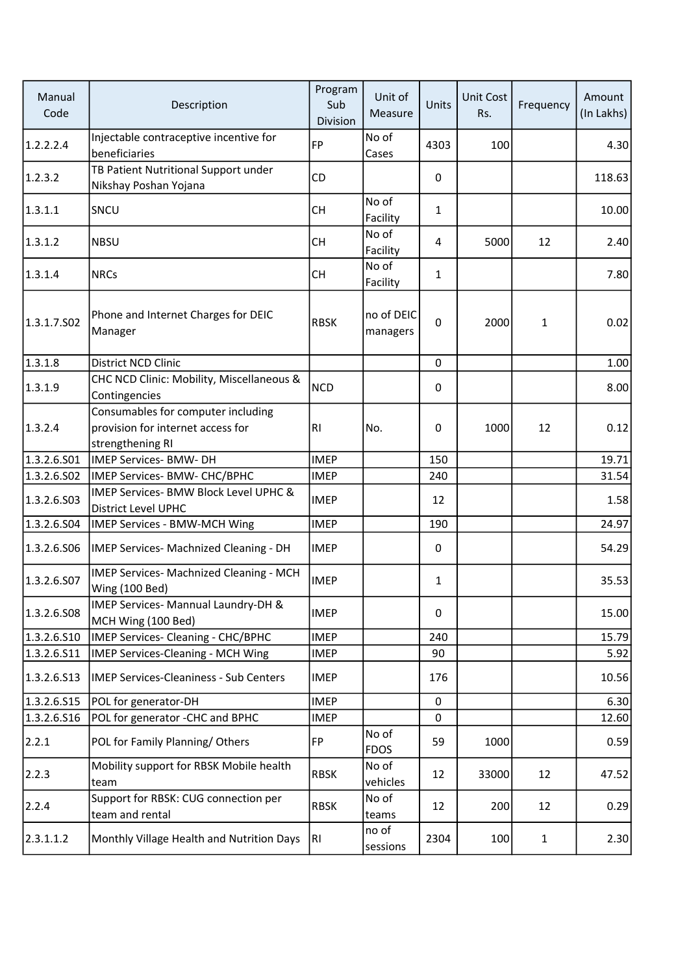| Manual<br>Code | Description                                                                                 | Program<br>Sub<br>Division | Unit of<br>Measure     | Units        | Unit Cost<br>Rs. | Frequency    | Amount<br>(In Lakhs) |
|----------------|---------------------------------------------------------------------------------------------|----------------------------|------------------------|--------------|------------------|--------------|----------------------|
| 1.2.2.2.4      | Injectable contraceptive incentive for<br>beneficiaries                                     | <b>FP</b>                  | No of<br>Cases         | 4303         | 100              |              | 4.30                 |
| 1.2.3.2        | TB Patient Nutritional Support under<br>Nikshay Poshan Yojana                               | CD                         |                        | 0            |                  |              | 118.63               |
| 1.3.1.1        | SNCU                                                                                        | <b>CH</b>                  | No of<br>Facility      | $\mathbf{1}$ |                  |              | 10.00                |
| 1.3.1.2        | <b>NBSU</b>                                                                                 | <b>CH</b>                  | No of<br>Facility      | 4            | 5000             | 12           | 2.40                 |
| 1.3.1.4        | <b>NRCs</b>                                                                                 | <b>CH</b>                  | No of<br>Facility      | 1            |                  |              | 7.80                 |
| 1.3.1.7.S02    | Phone and Internet Charges for DEIC<br>Manager                                              | <b>RBSK</b>                | no of DEIC<br>managers | $\Omega$     | 2000             | 1            | 0.02                 |
| 1.3.1.8        | <b>District NCD Clinic</b>                                                                  |                            |                        | $\mathbf 0$  |                  |              | 1.00                 |
| 1.3.1.9        | CHC NCD Clinic: Mobility, Miscellaneous &<br>Contingencies                                  | <b>NCD</b>                 |                        | 0            |                  |              | 8.00                 |
| 1.3.2.4        | Consumables for computer including<br>provision for internet access for<br>strengthening RI | <b>RI</b>                  | No.                    | 0            | 1000             | 12           | 0.12                 |
| 1.3.2.6.501    | <b>IMEP Services- BMW- DH</b>                                                               | <b>IMEP</b>                |                        | 150          |                  |              | 19.71                |
| 1.3.2.6.502    | IMEP Services- BMW- CHC/BPHC                                                                | <b>IMEP</b>                |                        | 240          |                  |              | 31.54                |
| 1.3.2.6.503    | IMEP Services- BMW Block Level UPHC &<br>District Level UPHC                                | <b>IMEP</b>                |                        | 12           |                  |              | 1.58                 |
| 1.3.2.6.504    | IMEP Services - BMW-MCH Wing                                                                | <b>IMEP</b>                |                        | 190          |                  |              | 24.97                |
| 1.3.2.6.506    | IMEP Services- Machnized Cleaning - DH                                                      | <b>IMEP</b>                |                        | 0            |                  |              | 54.29                |
| 1.3.2.6.507    | IMEP Services- Machnized Cleaning - MCH<br>Wing (100 Bed)                                   | <b>IMEP</b>                |                        | $\mathbf{1}$ |                  |              | 35.53                |
| 1.3.2.6.508    | IMEP Services- Mannual Laundry-DH &<br>MCH Wing (100 Bed)                                   | <b>IMEP</b>                |                        | 0            |                  |              | 15.00                |
| 1.3.2.6.510    | IMEP Services- Cleaning - CHC/BPHC                                                          | <b>IMEP</b>                |                        | 240          |                  |              | 15.79                |
| 1.3.2.6.511    | <b>IMEP Services-Cleaning - MCH Wing</b>                                                    | <b>IMEP</b>                |                        | 90           |                  |              | 5.92                 |
| 1.3.2.6.513    | <b>IMEP Services-Cleaniness - Sub Centers</b>                                               | <b>IMEP</b>                |                        | 176          |                  |              | 10.56                |
| 1.3.2.6.S15    | POL for generator-DH                                                                        | <b>IMEP</b>                |                        | $\mathbf 0$  |                  |              | 6.30                 |
| 1.3.2.6.516    | POL for generator - CHC and BPHC                                                            | <b>IMEP</b>                |                        | 0            |                  |              | 12.60                |
| 2.2.1          | POL for Family Planning/Others                                                              | FP                         | No of<br><b>FDOS</b>   | 59           | 1000             |              | 0.59                 |
| 2.2.3          | Mobility support for RBSK Mobile health<br>team                                             | <b>RBSK</b>                | No of<br>vehicles      | 12           | 33000            | 12           | 47.52                |
| 2.2.4          | Support for RBSK: CUG connection per<br>team and rental                                     | <b>RBSK</b>                | No of<br>teams         | 12           | 200              | 12           | 0.29                 |
| 2.3.1.1.2      | Monthly Village Health and Nutrition Days                                                   | RI                         | no of<br>sessions      | 2304         | 100              | $\mathbf{1}$ | 2.30                 |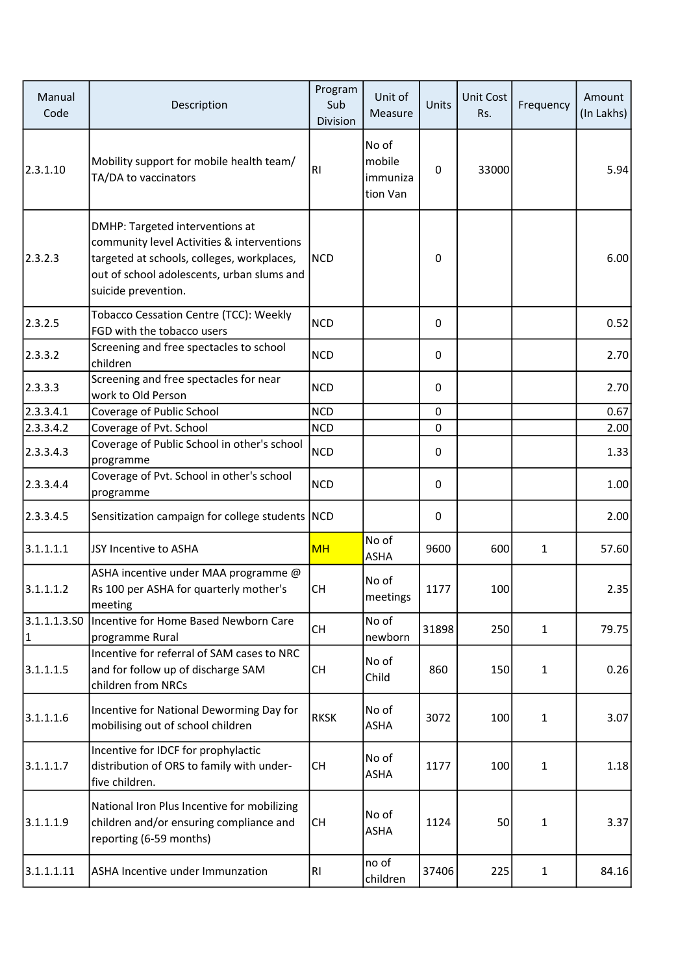| Manual<br>Code               | Description                                                                                                                                                                                      | Program<br>Sub<br>Division | Unit of<br>Measure                      | Units       | <b>Unit Cost</b><br>Rs. | Frequency    | Amount<br>(In Lakhs) |
|------------------------------|--------------------------------------------------------------------------------------------------------------------------------------------------------------------------------------------------|----------------------------|-----------------------------------------|-------------|-------------------------|--------------|----------------------|
| 2.3.1.10                     | Mobility support for mobile health team/<br>TA/DA to vaccinators                                                                                                                                 | RI                         | No of<br>mobile<br>immuniza<br>tion Van | $\Omega$    | 33000                   |              | 5.94                 |
| 2.3.2.3                      | DMHP: Targeted interventions at<br>community level Activities & interventions<br>targeted at schools, colleges, workplaces,<br>out of school adolescents, urban slums and<br>suicide prevention. | NCD                        |                                         | 0           |                         |              | 6.00                 |
| 2.3.2.5                      | Tobacco Cessation Centre (TCC): Weekly<br>FGD with the tobacco users                                                                                                                             | <b>NCD</b>                 |                                         | $\mathbf 0$ |                         |              | 0.52                 |
| 2.3.3.2                      | Screening and free spectacles to school<br>children                                                                                                                                              | <b>NCD</b>                 |                                         | 0           |                         |              | 2.70                 |
| 2.3.3.3                      | Screening and free spectacles for near<br>work to Old Person                                                                                                                                     | <b>NCD</b>                 |                                         | $\Omega$    |                         |              | 2.70                 |
| 2.3.3.4.1                    | Coverage of Public School                                                                                                                                                                        | <b>NCD</b>                 |                                         | 0           |                         |              | 0.67                 |
| 2.3.3.4.2                    | Coverage of Pvt. School                                                                                                                                                                          | <b>NCD</b>                 |                                         | 0           |                         |              | 2.00                 |
| 2.3.3.4.3                    | Coverage of Public School in other's school<br>programme                                                                                                                                         | <b>NCD</b>                 |                                         | 0           |                         |              | 1.33                 |
| 2.3.3.4.4                    | Coverage of Pvt. School in other's school<br>programme                                                                                                                                           | <b>NCD</b>                 |                                         | $\Omega$    |                         |              | 1.00                 |
| 2.3.3.4.5                    | Sensitization campaign for college students NCD                                                                                                                                                  |                            |                                         | $\Omega$    |                         |              | 2.00                 |
| 3.1.1.1.1                    | JSY Incentive to ASHA                                                                                                                                                                            | MH                         | No of<br><b>ASHA</b>                    | 9600        | 600                     | 1            | 57.60                |
| 3.1.1.1.2                    | ASHA incentive under MAA programme @<br>Rs 100 per ASHA for quarterly mother's<br>meeting                                                                                                        | CH                         | No of<br>meetings                       | 1177        | 100                     |              | 2.35                 |
| 3.1.1.1.3.50<br>$\mathbf{1}$ | Incentive for Home Based Newborn Care<br>programme Rural                                                                                                                                         | <b>CH</b>                  | No of<br>newborn                        | 31898       | 250                     | $\mathbf{1}$ | 79.75                |
| 3.1.1.1.5                    | Incentive for referral of SAM cases to NRC<br>and for follow up of discharge SAM<br>children from NRCs                                                                                           | <b>CH</b>                  | No of<br>Child                          | 860         | 150                     | 1            | 0.26                 |
| 3.1.1.1.6                    | Incentive for National Deworming Day for<br>mobilising out of school children                                                                                                                    | <b>RKSK</b>                | No of<br><b>ASHA</b>                    | 3072        | 100                     | 1            | 3.07                 |
| 3.1.1.1.7                    | Incentive for IDCF for prophylactic<br>distribution of ORS to family with under-<br>five children.                                                                                               | <b>CH</b>                  | No of<br><b>ASHA</b>                    | 1177        | 100                     | $\mathbf{1}$ | 1.18                 |
| 3.1.1.1.9                    | National Iron Plus Incentive for mobilizing<br>children and/or ensuring compliance and<br>reporting (6-59 months)                                                                                | <b>CH</b>                  | No of<br><b>ASHA</b>                    | 1124        | 50                      | 1            | 3.37                 |
| 3.1.1.1.11                   | ASHA Incentive under Immunzation                                                                                                                                                                 | RI                         | no of<br>children                       | 37406       | 225                     | $\mathbf{1}$ | 84.16                |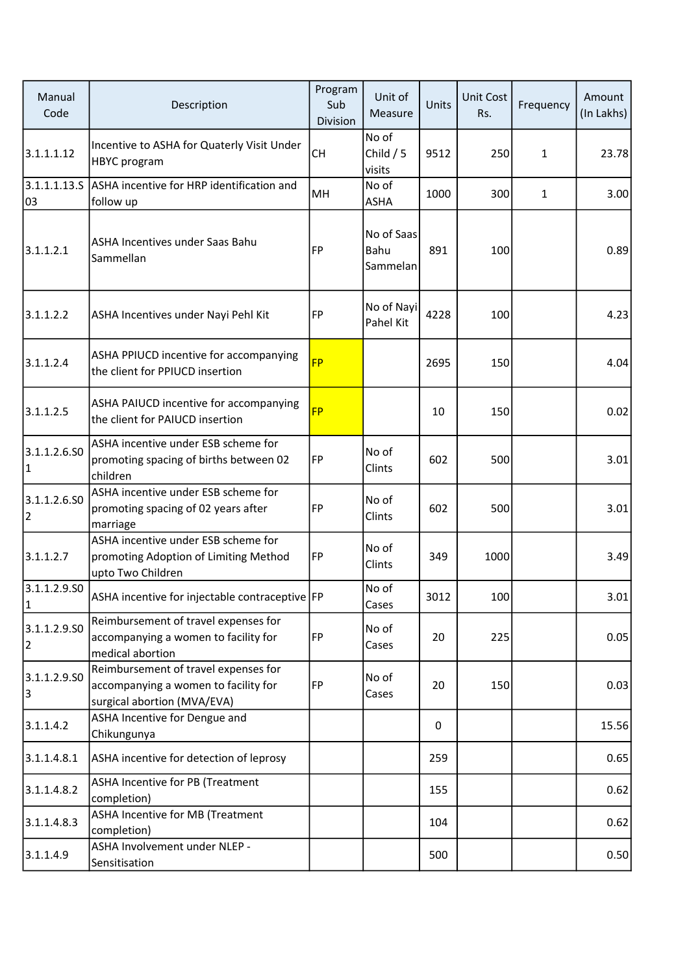| Manual<br>Code            | Description                                                                                                 | Program<br>Sub<br>Division | Unit of<br>Measure             | Units | Unit Cost<br>Rs. | Frequency | Amount<br>(In Lakhs) |
|---------------------------|-------------------------------------------------------------------------------------------------------------|----------------------------|--------------------------------|-------|------------------|-----------|----------------------|
| 3.1.1.1.12                | Incentive to ASHA for Quaterly Visit Under<br><b>HBYC</b> program                                           | <b>CH</b>                  | No of<br>Child $/5$<br>visits  | 9512  | 250              | 1         | 23.78                |
| 3.1.1.1.13.S<br>03        | ASHA incentive for HRP identification and<br>follow up                                                      | MH                         | No of<br><b>ASHA</b>           | 1000  | 300              | 1         | 3.00                 |
| 3.1.1.2.1                 | ASHA Incentives under Saas Bahu<br>Sammellan                                                                | <b>FP</b>                  | No of Saas<br>Bahu<br>Sammelan | 891   | 100              |           | 0.89                 |
| 3.1.1.2.2                 | ASHA Incentives under Nayi Pehl Kit                                                                         | FP                         | No of Nayi<br>Pahel Kit        | 4228  | 100              |           | 4.23                 |
| 3.1.1.2.4                 | ASHA PPIUCD incentive for accompanying<br>the client for PPIUCD insertion                                   | <b>FP</b>                  |                                | 2695  | 150              |           | 4.04                 |
| 3.1.1.2.5                 | ASHA PAIUCD incentive for accompanying<br>the client for PAIUCD insertion                                   | <b>FP</b>                  |                                | 10    | 150              |           | 0.02                 |
| 3.1.1.2.6.50<br>1         | ASHA incentive under ESB scheme for<br>promoting spacing of births between 02<br>children                   | FP                         | No of<br>Clints                | 602   | 500              |           | 3.01                 |
| 3.1.1.2.6.SO<br>2         | ASHA incentive under ESB scheme for<br>promoting spacing of 02 years after<br>marriage                      | FP                         | No of<br>Clints                | 602   | 500              |           | 3.01                 |
| 3.1.1.2.7                 | ASHA incentive under ESB scheme for<br>promoting Adoption of Limiting Method<br>upto Two Children           | FP                         | No of<br>Clints                | 349   | 1000             |           | 3.49                 |
| 3.1.1.2.9.SO<br> 1        | ASHA incentive for injectable contraceptive FP                                                              |                            | No of<br>Cases                 | 3012  | 100              |           | 3.01                 |
| 3.1.1.2.9.50<br>$\vert$ 2 | Reimbursement of travel expenses for<br>accompanying a women to facility for<br>medical abortion            | FP                         | No of<br>Cases                 | 20    | 225              |           | 0.05                 |
| 3.1.1.2.9.50<br>3         | Reimbursement of travel expenses for<br>accompanying a women to facility for<br>surgical abortion (MVA/EVA) | FP                         | No of<br>Cases                 | 20    | 150              |           | 0.03                 |
| 3.1.1.4.2                 | ASHA Incentive for Dengue and<br>Chikungunya                                                                |                            |                                | 0     |                  |           | 15.56                |
| 3.1.1.4.8.1               | ASHA incentive for detection of leprosy                                                                     |                            |                                | 259   |                  |           | 0.65                 |
| 3.1.1.4.8.2               | <b>ASHA Incentive for PB (Treatment</b><br>completion)                                                      |                            |                                | 155   |                  |           | 0.62                 |
| 3.1.1.4.8.3               | ASHA Incentive for MB (Treatment<br>completion)                                                             |                            |                                | 104   |                  |           | 0.62                 |
| 3.1.1.4.9                 | ASHA Involvement under NLEP -<br>Sensitisation                                                              |                            |                                | 500   |                  |           | 0.50                 |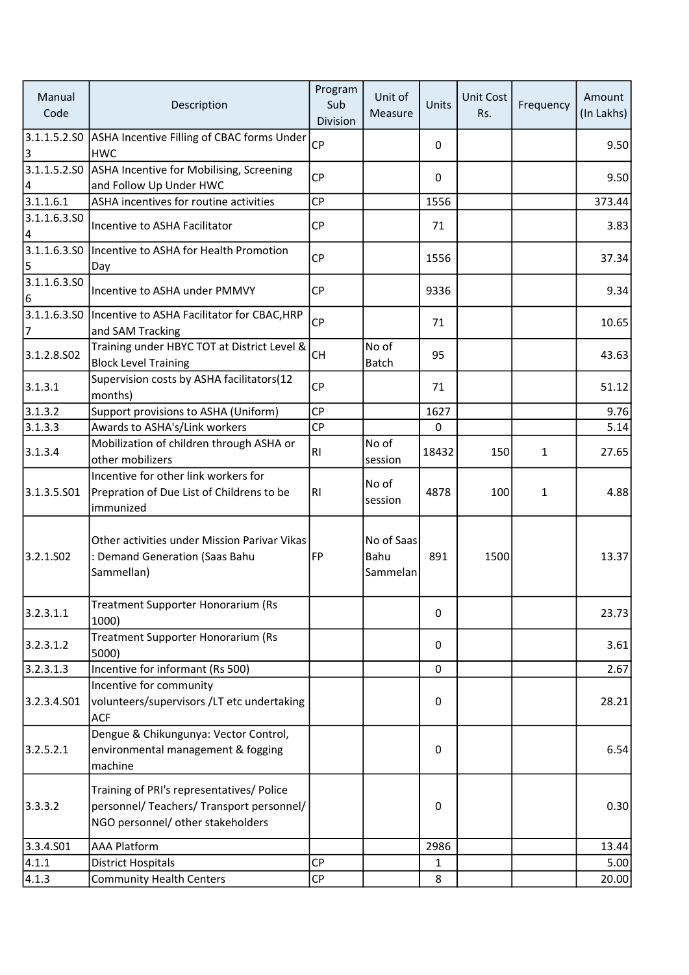| Manual<br>Code     | Description                                                                                                                 | Program<br>Sub<br>Division | Unit of<br>Measure             | Units        | Unit Cost<br>Rs. | Frequency    | Amount<br>(In Lakhs) |
|--------------------|-----------------------------------------------------------------------------------------------------------------------------|----------------------------|--------------------------------|--------------|------------------|--------------|----------------------|
| 3                  | 3.1.1.5.2.SO ASHA Incentive Filling of CBAC forms Under<br><b>HWC</b>                                                       | CP                         |                                | 0            |                  |              | 9.50                 |
| 4                  | 3.1.1.5.2.SO ASHA Incentive for Mobilising, Screening<br>and Follow Up Under HWC                                            | <b>CP</b>                  |                                | $\mathbf{0}$ |                  |              | 9.50                 |
| 3.1.1.6.1          | ASHA incentives for routine activities                                                                                      | CP                         |                                | 1556         |                  |              | 373.44               |
| 3.1.1.6.3.50<br> 4 | Incentive to ASHA Facilitator                                                                                               | <b>CP</b>                  |                                | 71           |                  |              | 3.83                 |
| 5                  | 3.1.1.6.3.S0  Incentive to ASHA for Health Promotion<br>Day                                                                 | CP                         |                                | 1556         |                  |              | 37.34                |
| 3.1.1.6.3.50<br>6  | Incentive to ASHA under PMMVY                                                                                               | <b>CP</b>                  |                                | 9336         |                  |              | 9.34                 |
| 7                  | 3.1.1.6.3.SO   Incentive to ASHA Facilitator for CBAC, HRP<br>and SAM Tracking                                              | <b>CP</b>                  |                                | 71           |                  |              | 10.65                |
| 3.1.2.8.SO2        | Training under HBYC TOT at District Level &<br><b>Block Level Training</b>                                                  | CH                         | No of<br><b>Batch</b>          | 95           |                  |              | 43.63                |
| 3.1.3.1            | Supervision costs by ASHA facilitators(12<br>months)                                                                        | <b>CP</b>                  |                                | 71           |                  |              | 51.12                |
| 3.1.3.2            | Support provisions to ASHA (Uniform)                                                                                        | <b>CP</b>                  |                                | 1627         |                  |              | 9.76                 |
| 3.1.3.3            | Awards to ASHA's/Link workers                                                                                               | CP                         |                                | 0            |                  |              | 5.14                 |
| 3.1.3.4            | Mobilization of children through ASHA or<br>other mobilizers                                                                | RI                         | No of<br>session               | 18432        | 150              | 1            | 27.65                |
| 3.1.3.5.501        | Incentive for other link workers for<br>Prepration of Due List of Childrens to be<br>immunized                              | RI                         | No of<br>session               | 4878         | 100              | $\mathbf{1}$ | 4.88                 |
| 3.2.1.502          | Other activities under Mission Parivar Vikas<br>: Demand Generation (Saas Bahu<br>Sammellan)                                | FP                         | No of Saas<br>Bahu<br>Sammelan | 891          | 1500             |              | 13.37                |
| 3.2.3.1.1          | Treatment Supporter Honorarium (Rs<br>1000)                                                                                 |                            |                                | 0            |                  |              | 23.73                |
| 3.2.3.1.2          | <b>Treatment Supporter Honorarium (Rs</b><br>5000)                                                                          |                            |                                | 0            |                  |              | 3.61                 |
| 3.2.3.1.3          | Incentive for informant (Rs 500)                                                                                            |                            |                                | $\mathbf{0}$ |                  |              | 2.67                 |
| 3.2.3.4.S01        | Incentive for community<br>volunteers/supervisors /LT etc undertaking<br><b>ACF</b>                                         |                            |                                | 0            |                  |              | 28.21                |
| 3.2.5.2.1          | Dengue & Chikungunya: Vector Control,<br>environmental management & fogging<br>machine                                      |                            |                                | 0            |                  |              | 6.54                 |
| 3.3.3.2            | Training of PRI's representatives/ Police<br>personnel/ Teachers/ Transport personnel/<br>NGO personnel/ other stakeholders |                            |                                | 0            |                  |              | 0.30                 |
| 3.3.4.SO1          | <b>AAA Platform</b>                                                                                                         |                            |                                | 2986         |                  |              | 13.44                |
| 4.1.1              | <b>District Hospitals</b>                                                                                                   | <b>CP</b>                  |                                | 1            |                  |              | 5.00                 |
| 4.1.3              | <b>Community Health Centers</b>                                                                                             | CP                         |                                | 8            |                  |              | 20.00                |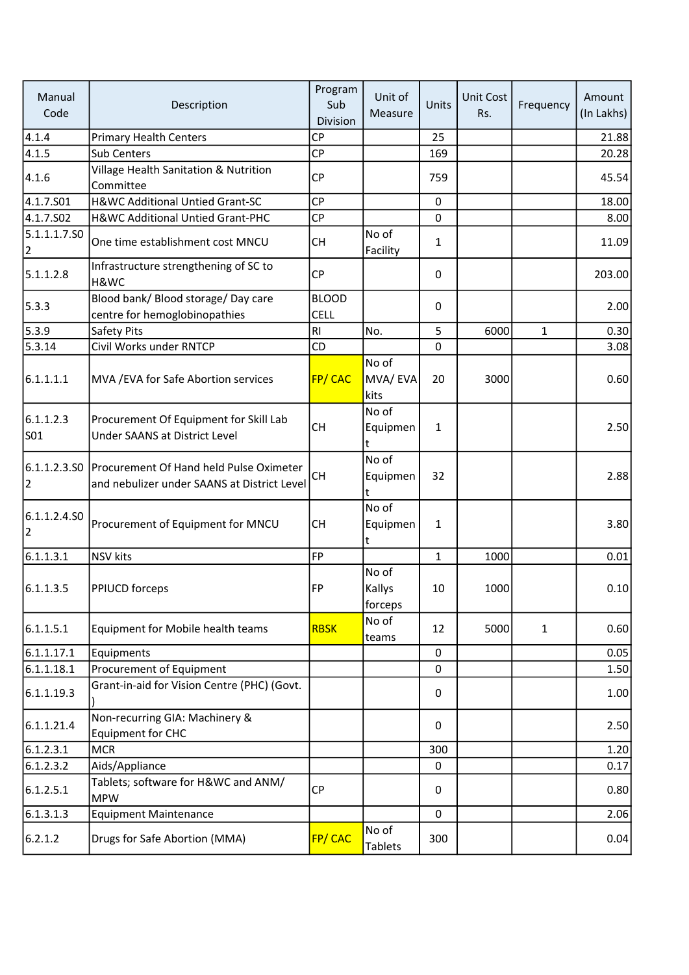| Manual<br>Code    | Description                                                                                         | Program<br>Sub<br>Division | Unit of<br>Measure         | Units        | Unit Cost<br>Rs. | Frequency    | Amount<br>(In Lakhs) |
|-------------------|-----------------------------------------------------------------------------------------------------|----------------------------|----------------------------|--------------|------------------|--------------|----------------------|
| 4.1.4             | <b>Primary Health Centers</b>                                                                       | <b>CP</b>                  |                            | 25           |                  |              | 21.88                |
| 4.1.5             | <b>Sub Centers</b>                                                                                  | CP                         |                            | 169          |                  |              | 20.28                |
| 4.1.6             | Village Health Sanitation & Nutrition<br>Committee                                                  | CP                         |                            | 759          |                  |              | 45.54                |
| 4.1.7.S01         | H&WC Additional Untied Grant-SC                                                                     | <b>CP</b>                  |                            | $\mathbf 0$  |                  |              | 18.00                |
| 4.1.7.502         | H&WC Additional Untied Grant-PHC                                                                    | CP                         |                            | $\mathbf 0$  |                  |              | 8.00                 |
| 5.1.1.1.7.SO<br>2 | One time establishment cost MNCU                                                                    | <b>CH</b>                  | No of<br>Facility          | $\mathbf{1}$ |                  |              | 11.09                |
| 5.1.1.2.8         | Infrastructure strengthening of SC to<br>H&WC                                                       | CP                         |                            | 0            |                  |              | 203.00               |
| 5.3.3             | Blood bank/ Blood storage/ Day care                                                                 | <b>BLOOD</b>               |                            | $\mathbf{0}$ |                  |              | 2.00                 |
|                   | centre for hemoglobinopathies                                                                       | <b>CELL</b>                |                            |              |                  |              |                      |
| 5.3.9             | Safety Pits                                                                                         | R <sub>l</sub>             | No.                        | 5            | 6000             | 1            | 0.30                 |
| 5.3.14            | Civil Works under RNTCP                                                                             | CD                         |                            | $\mathbf 0$  |                  |              | 3.08                 |
| 6.1.1.1.1         | MVA / EVA for Safe Abortion services                                                                | <b>FP/CAC</b>              | No of<br>MVA/EVA<br>kits   | 20           | 3000             |              | 0.60                 |
| 6.1.1.2.3<br>S01  | Procurement Of Equipment for Skill Lab<br>Under SAANS at District Level                             | <b>CH</b>                  | No of<br>Equipmen<br>lt.   | $\mathbf{1}$ |                  |              | 2.50                 |
| 2                 | 6.1.1.2.3.S0 Procurement Of Hand held Pulse Oximeter<br>and nebulizer under SAANS at District Level | <b>CH</b>                  | No of<br>Equipmen<br>t     | 32           |                  |              | 2.88                 |
| 6.1.1.2.4.SO<br>2 | Procurement of Equipment for MNCU                                                                   | <b>CH</b>                  | No of<br>Equipmen<br>lt.   | $\mathbf{1}$ |                  |              | 3.80                 |
| 6.1.1.3.1         | <b>NSV</b> kits                                                                                     | <b>FP</b>                  |                            | $\mathbf{1}$ | 1000             |              | 0.01                 |
| 6.1.1.3.5         | <b>PPIUCD forceps</b>                                                                               | FP                         | No of<br>Kallys<br>forceps | 10           | 1000             |              | 0.10                 |
| 6.1.1.5.1         | Equipment for Mobile health teams                                                                   | <b>RBSK</b>                | No of<br>teams             | 12           | 5000             | $\mathbf{1}$ | 0.60                 |
| 6.1.1.17.1        | Equipments                                                                                          |                            |                            | 0            |                  |              | 0.05                 |
| 6.1.1.18.1        | Procurement of Equipment                                                                            |                            |                            | $\mathbf 0$  |                  |              | 1.50                 |
| 6.1.1.19.3        | Grant-in-aid for Vision Centre (PHC) (Govt.                                                         |                            |                            | 0            |                  |              | 1.00                 |
| 6.1.1.21.4        | Non-recurring GIA: Machinery &<br><b>Equipment for CHC</b>                                          |                            |                            | 0            |                  |              | 2.50                 |
| 6.1.2.3.1         | <b>MCR</b>                                                                                          |                            |                            | 300          |                  |              | 1.20                 |
| 6.1.2.3.2         | Aids/Appliance                                                                                      |                            |                            | 0            |                  |              | 0.17                 |
| 6.1.2.5.1         | Tablets; software for H&WC and ANM/<br><b>MPW</b>                                                   | <b>CP</b>                  |                            | 0            |                  |              | 0.80                 |
| 6.1.3.1.3         | <b>Equipment Maintenance</b>                                                                        |                            |                            | $\mathbf 0$  |                  |              | 2.06                 |
| 6.2.1.2           | Drugs for Safe Abortion (MMA)                                                                       | <b>FP/CAC</b>              | No of<br><b>Tablets</b>    | 300          |                  |              | 0.04                 |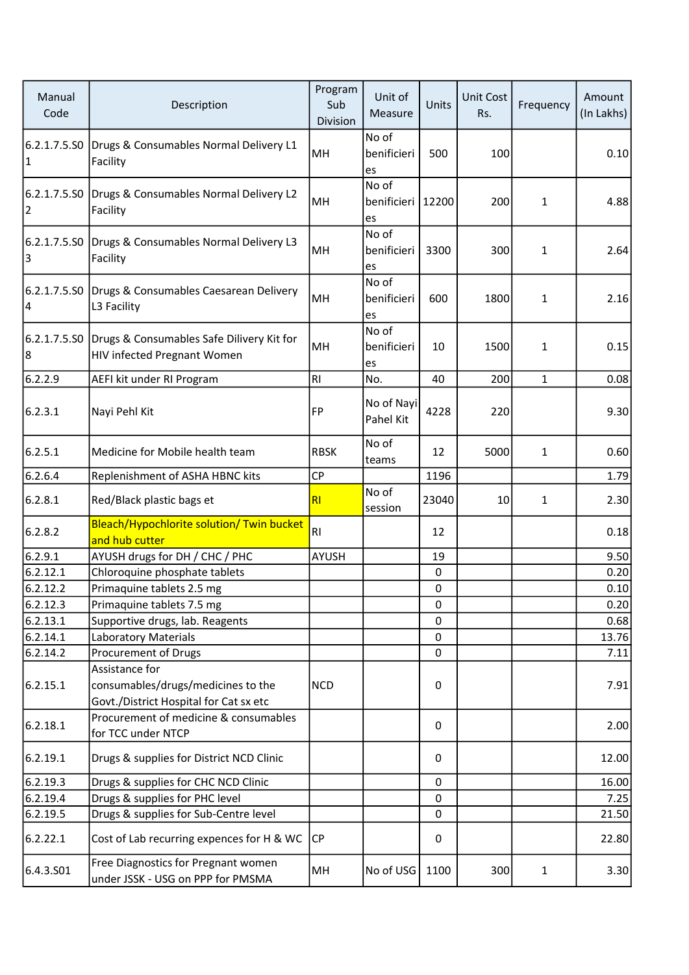| Manual<br>Code    | Description                                                                                    | Program<br>Sub<br>Division | Unit of<br>Measure         | Units     | Unit Cost<br>Rs. | Frequency    | Amount<br>(In Lakhs) |
|-------------------|------------------------------------------------------------------------------------------------|----------------------------|----------------------------|-----------|------------------|--------------|----------------------|
| 1                 | 6.2.1.7.5.S0 Drugs & Consumables Normal Delivery L1<br>Facility                                | MH                         | No of<br>benificieri<br>es | 500       | 100              |              | 0.10                 |
| $\vert$ 2         | 6.2.1.7.5.S0 Drugs & Consumables Normal Delivery L2<br>Facility                                | MH                         | No of<br>benificieri<br>es | 12200     | 200              | 1            | 4.88                 |
| 3                 | 6.2.1.7.5.S0 Drugs & Consumables Normal Delivery L3<br>Facility                                | MH                         | No of<br>benificieri<br>es | 3300      | 300              | 1            | 2.64                 |
| 14                | 6.2.1.7.5.S0 Drugs & Consumables Caesarean Delivery<br>L3 Facility                             | MH                         | No of<br>benificieri<br>es | 600       | 1800             | 1            | 2.16                 |
| 6.2.1.7.5.SO<br>8 | Drugs & Consumables Safe Dilivery Kit for<br><b>HIV infected Pregnant Women</b>                | MH                         | No of<br>benificieri<br>es | 10        | 1500             | 1            | 0.15                 |
| 6.2.2.9           | AEFI kit under RI Program                                                                      | RI                         | No.                        | 40        | 200              | $\mathbf{1}$ | 0.08                 |
| 6.2.3.1           | Nayi Pehl Kit                                                                                  | FP                         | No of Nayi<br>Pahel Kit    | 4228      | 220              |              | 9.30                 |
| 6.2.5.1           | Medicine for Mobile health team                                                                | <b>RBSK</b>                | No of<br>teams             | 12        | 5000             | 1            | 0.60                 |
| 6.2.6.4           | Replenishment of ASHA HBNC kits                                                                | CP                         |                            | 1196      |                  |              | 1.79                 |
| 6.2.8.1           | Red/Black plastic bags et                                                                      | RI                         | No of<br>session           | 23040     | 10               | 1            | 2.30                 |
| 6.2.8.2           | Bleach/Hypochlorite solution/ Twin bucket<br>and hub cutter                                    | R <sub>1</sub>             |                            | 12        |                  |              | 0.18                 |
| 6.2.9.1           | AYUSH drugs for DH / CHC / PHC                                                                 | <b>AYUSH</b>               |                            | 19        |                  |              | 9.50                 |
| 6.2.12.1          | Chloroquine phosphate tablets                                                                  |                            |                            | $\pmb{0}$ |                  |              | 0.20                 |
| 6.2.12.2          | Primaquine tablets 2.5 mg                                                                      |                            |                            | 0         |                  |              | 0.10                 |
| 6.2.12.3          | Primaquine tablets 7.5 mg                                                                      |                            |                            | 0         |                  |              | 0.20                 |
| 6.2.13.1          | Supportive drugs, lab. Reagents                                                                |                            |                            | $\Omega$  |                  |              | 0.68                 |
| 6.2.14.1          | <b>Laboratory Materials</b>                                                                    |                            |                            | 0         |                  |              | 13.76                |
| 6.2.14.2          | Procurement of Drugs                                                                           |                            |                            | 0         |                  |              | 7.11                 |
| 6.2.15.1          | Assistance for<br>consumables/drugs/medicines to the<br>Govt./District Hospital for Cat sx etc | <b>NCD</b>                 |                            | 0         |                  |              | 7.91                 |
| 6.2.18.1          | Procurement of medicine & consumables<br>for TCC under NTCP                                    |                            |                            | 0         |                  |              | 2.00                 |
| 6.2.19.1          | Drugs & supplies for District NCD Clinic                                                       |                            |                            | 0         |                  |              | 12.00                |
| 6.2.19.3          | Drugs & supplies for CHC NCD Clinic                                                            |                            |                            | 0         |                  |              | 16.00                |
| 6.2.19.4          | Drugs & supplies for PHC level                                                                 |                            |                            | 0         |                  |              | 7.25                 |
| 6.2.19.5          | Drugs & supplies for Sub-Centre level                                                          |                            |                            | $\Omega$  |                  |              | 21.50                |
| 6.2.22.1          | Cost of Lab recurring expences for H & WC                                                      | <b>CP</b>                  |                            | 0         |                  |              | 22.80                |
| 6.4.3.501         | Free Diagnostics for Pregnant women<br>under JSSK - USG on PPP for PMSMA                       | MH                         | No of USG                  | 1100      | 300              | $\mathbf{1}$ | 3.30                 |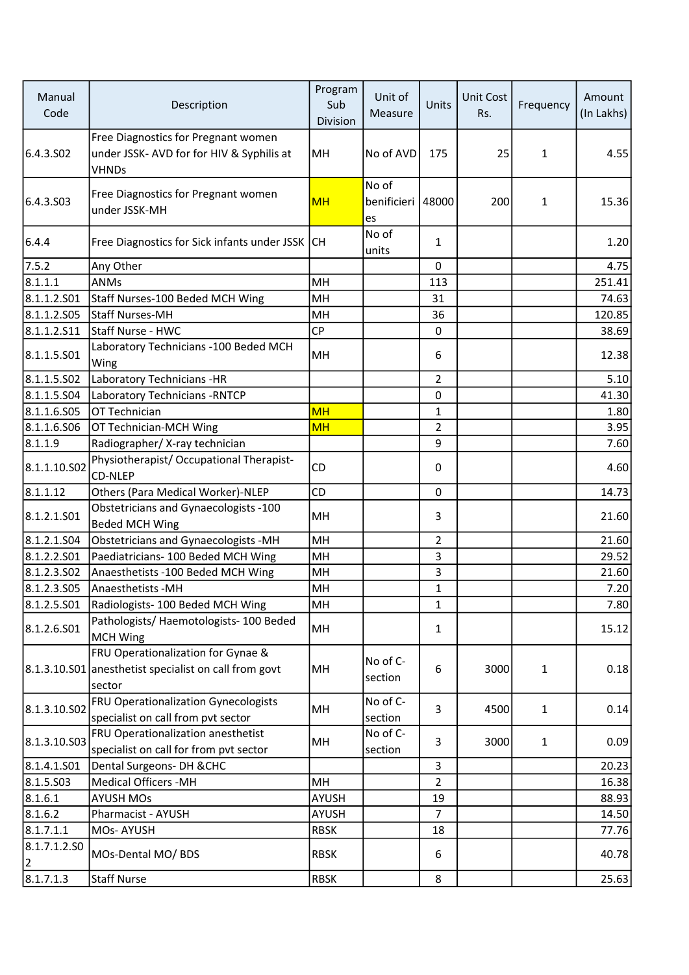| Manual<br>Code     | Description                                                                                           | Program<br>Sub<br>Division | Unit of<br>Measure         | Units          | Unit Cost<br>Rs. | Frequency | Amount<br>(In Lakhs) |
|--------------------|-------------------------------------------------------------------------------------------------------|----------------------------|----------------------------|----------------|------------------|-----------|----------------------|
| 6.4.3.502          | Free Diagnostics for Pregnant women<br>under JSSK- AVD for for HIV & Syphilis at<br><b>VHNDs</b>      | MH                         | No of AVD                  | 175            | 25               | 1         | 4.55                 |
| 6.4.3.503          | Free Diagnostics for Pregnant women<br>under JSSK-MH                                                  | <b>MH</b>                  | No of<br>benificieri<br>es | 48000          | 200              | 1         | 15.36                |
| 6.4.4              | Free Diagnostics for Sick infants under JSSK                                                          | <b>CH</b>                  | No of<br>units             | $\mathbf{1}$   |                  |           | 1.20                 |
| 7.5.2              | Any Other                                                                                             |                            |                            | $\Omega$       |                  |           | 4.75                 |
| 8.1.1.1            | ANMs                                                                                                  | MH                         |                            | 113            |                  |           | 251.41               |
| 8.1.1.2.501        | Staff Nurses-100 Beded MCH Wing                                                                       | MH                         |                            | 31             |                  |           | 74.63                |
| 8.1.1.2.505        | <b>Staff Nurses-MH</b>                                                                                | MH                         |                            | 36             |                  |           | 120.85               |
| 8.1.1.2.511        | Staff Nurse - HWC                                                                                     | <b>CP</b>                  |                            | 0              |                  |           | 38.69                |
| 8.1.1.5.501        | Laboratory Technicians - 100 Beded MCH<br>Wing                                                        | MH                         |                            | 6              |                  |           | 12.38                |
| 8.1.1.5.502        | Laboratory Technicians -HR                                                                            |                            |                            | $\overline{2}$ |                  |           | 5.10                 |
| 8.1.1.5.504        | Laboratory Technicians - RNTCP                                                                        |                            |                            | 0              |                  |           | 41.30                |
| 8.1.1.6.S05        | OT Technician                                                                                         | <b>MH</b>                  |                            | 1              |                  |           | 1.80                 |
| 8.1.1.6.506        | OT Technician-MCH Wing                                                                                | <b>MH</b>                  |                            | $\overline{2}$ |                  |           | 3.95                 |
| 8.1.1.9            | Radiographer/ X-ray technician                                                                        |                            |                            | 9              |                  |           | 7.60                 |
| 8.1.1.10.S02       | Physiotherapist/ Occupational Therapist-<br><b>CD-NLEP</b>                                            | CD                         |                            | 0              |                  |           | 4.60                 |
| 8.1.1.12           | Others (Para Medical Worker)-NLEP                                                                     | CD                         |                            | 0              |                  |           | 14.73                |
| 8.1.2.1.S01        | Obstetricians and Gynaecologists -100<br><b>Beded MCH Wing</b>                                        | MH                         |                            | 3              |                  |           | 21.60                |
| 8.1.2.1.504        | Obstetricians and Gynaecologists -MH                                                                  | MH                         |                            | 2              |                  |           | 21.60                |
| 8.1.2.2.501        | Paediatricians- 100 Beded MCH Wing                                                                    | MH                         |                            | 3              |                  |           | 29.52                |
| 8.1.2.3.502        | Anaesthetists - 100 Beded MCH Wing                                                                    | MH                         |                            | 3              |                  |           | 21.60                |
| 8.1.2.3.505        | Anaesthetists - MH                                                                                    | MH                         |                            | 1              |                  |           | 7.20                 |
| 8.1.2.5.501        | Radiologists-100 Beded MCH Wing                                                                       | MH                         |                            | 1              |                  |           | 7.80                 |
| 8.1.2.6.501        | Pathologists/ Haemotologists- 100 Beded<br><b>MCH Wing</b>                                            | MH                         |                            | 1              |                  |           | 15.12                |
|                    | FRU Operationalization for Gynae &<br>8.1.3.10.S01 anesthetist specialist on call from govt<br>sector | MH                         | No of C-<br>section        | 6              | 3000             | 1         | 0.18                 |
| 8.1.3.10.S02       | FRU Operationalization Gynecologists<br>specialist on call from pvt sector                            | MH                         | No of C-<br>section        | 3              | 4500             | 1         | 0.14                 |
| 8.1.3.10.503       | FRU Operationalization anesthetist<br>specialist on call for from pvt sector                          | MH                         | No of C-<br>section        | 3              | 3000             | 1         | 0.09                 |
| 8.1.4.1.501        | Dental Surgeons-DH & CHC                                                                              |                            |                            | 3              |                  |           | 20.23                |
| 8.1.5.503          | <b>Medical Officers -MH</b>                                                                           | MH                         |                            | $\overline{2}$ |                  |           | 16.38                |
| 8.1.6.1            | <b>AYUSH MOs</b>                                                                                      | <b>AYUSH</b>               |                            | 19             |                  |           | 88.93                |
| 8.1.6.2            | Pharmacist - AYUSH                                                                                    | AYUSH                      |                            | $\overline{7}$ |                  |           | 14.50                |
| 8.1.7.1.1          | MOs-AYUSH                                                                                             | <b>RBSK</b>                |                            | 18             |                  |           | 77.76                |
| 8.1.7.1.2.50<br> 2 | MOs-Dental MO/ BDS                                                                                    | <b>RBSK</b>                |                            | 6              |                  |           | 40.78                |
| 8.1.7.1.3          | <b>Staff Nurse</b>                                                                                    | <b>RBSK</b>                |                            | 8              |                  |           | 25.63                |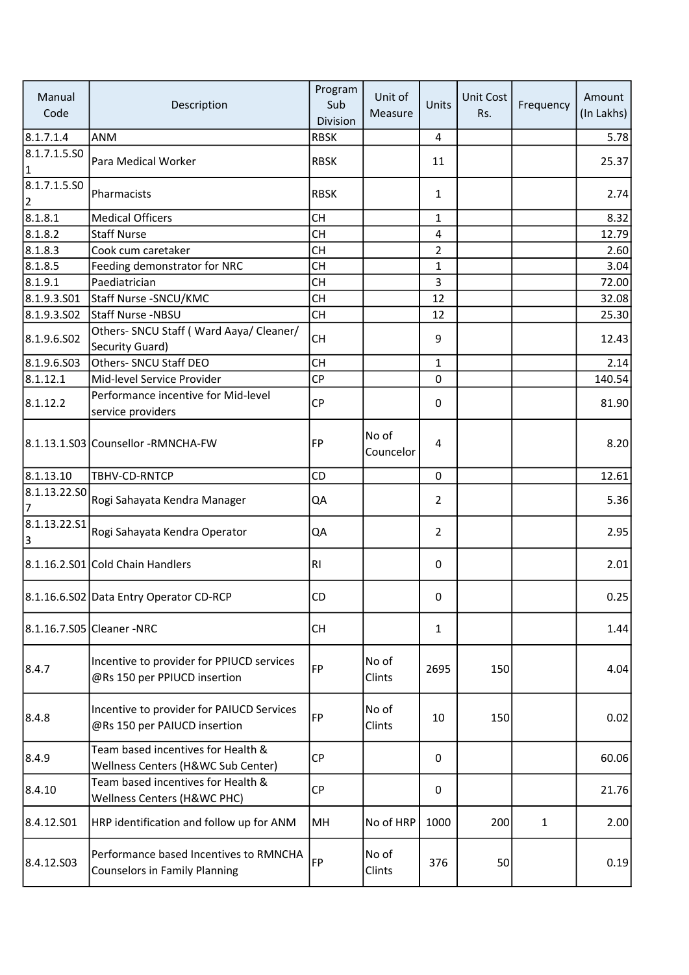| Manual<br>Code                 | Description                                                                    | Program<br>Sub<br>Division | Unit of<br>Measure | Units          | Unit Cost<br>Rs. | Frequency    | Amount<br>(In Lakhs) |
|--------------------------------|--------------------------------------------------------------------------------|----------------------------|--------------------|----------------|------------------|--------------|----------------------|
| 8.1.7.1.4                      | <b>ANM</b>                                                                     | <b>RBSK</b>                |                    | 4              |                  |              | 5.78                 |
| 8.1.7.1.5.SO<br>$\vert$ 1      | Para Medical Worker                                                            | <b>RBSK</b>                |                    | 11             |                  |              | 25.37                |
| 8.1.7.1.5.50<br>$\overline{2}$ | Pharmacists                                                                    | <b>RBSK</b>                |                    | $\mathbf{1}$   |                  |              | 2.74                 |
| 8.1.8.1                        | <b>Medical Officers</b>                                                        | <b>CH</b>                  |                    | $\mathbf{1}$   |                  |              | 8.32                 |
| 8.1.8.2                        | <b>Staff Nurse</b>                                                             | <b>CH</b>                  |                    | 4              |                  |              | 12.79                |
| 8.1.8.3                        | Cook cum caretaker                                                             | <b>CH</b>                  |                    | $\overline{2}$ |                  |              | 2.60                 |
| 8.1.8.5                        | Feeding demonstrator for NRC                                                   | <b>CH</b>                  |                    | $\mathbf{1}$   |                  |              | 3.04                 |
| 8.1.9.1                        | Paediatrician                                                                  | <b>CH</b>                  |                    | 3              |                  |              | 72.00                |
| 8.1.9.3.501                    | Staff Nurse -SNCU/KMC                                                          | <b>CH</b>                  |                    | 12             |                  |              | 32.08                |
| 8.1.9.3.502                    | <b>Staff Nurse -NBSU</b>                                                       | <b>CH</b>                  |                    | 12             |                  |              | 25.30                |
|                                | Others- SNCU Staff ( Ward Aaya/ Cleaner/                                       |                            |                    |                |                  |              |                      |
| 8.1.9.6.S02                    | Security Guard)                                                                | <b>CH</b>                  |                    | 9              |                  |              | 12.43                |
| 8.1.9.6.S03                    | Others- SNCU Staff DEO                                                         | <b>CH</b>                  |                    | $\mathbf{1}$   |                  |              | 2.14                 |
| 8.1.12.1                       | Mid-level Service Provider                                                     | CP                         |                    | 0              |                  |              | 140.54               |
|                                | Performance incentive for Mid-level                                            |                            |                    |                |                  |              |                      |
| 8.1.12.2                       | service providers                                                              | <b>CP</b>                  |                    | 0              |                  |              | 81.90                |
|                                | 8.1.13.1.S03 Counsellor -RMNCHA-FW                                             | FP                         | No of<br>Councelor | 4              |                  |              | 8.20                 |
| 8.1.13.10                      | TBHV-CD-RNTCP                                                                  | <b>CD</b>                  |                    | $\Omega$       |                  |              | 12.61                |
| 8.1.13.22.SO                   | Rogi Sahayata Kendra Manager                                                   | QA                         |                    | $\overline{2}$ |                  |              | 5.36                 |
| 8.1.13.22.51<br>3              | Rogi Sahayata Kendra Operator                                                  | QA                         |                    | $\overline{2}$ |                  |              | 2.95                 |
|                                | 8.1.16.2.S01 Cold Chain Handlers                                               | <b>RI</b>                  |                    | 0              |                  |              | 2.01                 |
|                                | 8.1.16.6.S02 Data Entry Operator CD-RCP                                        | CD                         |                    | 0              |                  |              | 0.25                 |
|                                | 8.1.16.7.S05 Cleaner -NRC                                                      | <b>CH</b>                  |                    | $\mathbf{1}$   |                  |              | 1.44                 |
| 8.4.7                          | Incentive to provider for PPIUCD services<br>@Rs 150 per PPIUCD insertion      | FP                         | No of<br>Clints    | 2695           | 150              |              | 4.04                 |
| 8.4.8                          | Incentive to provider for PAIUCD Services<br>@Rs 150 per PAIUCD insertion      | <b>FP</b>                  | No of<br>Clints    | 10             | 150              |              | 0.02                 |
| 8.4.9                          | Team based incentives for Health &<br>Wellness Centers (H&WC Sub Center)       | CP                         |                    | 0              |                  |              | 60.06                |
| 8.4.10                         | Team based incentives for Health &<br>Wellness Centers (H&WC PHC)              | CP                         |                    | 0              |                  |              | 21.76                |
| 8.4.12.S01                     | HRP identification and follow up for ANM                                       | MH                         | No of HRP          | 1000           | 200              | $\mathbf{1}$ | 2.00                 |
| 8.4.12.S03                     | Performance based Incentives to RMNCHA<br><b>Counselors in Family Planning</b> | FP                         | No of<br>Clints    | 376            | 50               |              | 0.19                 |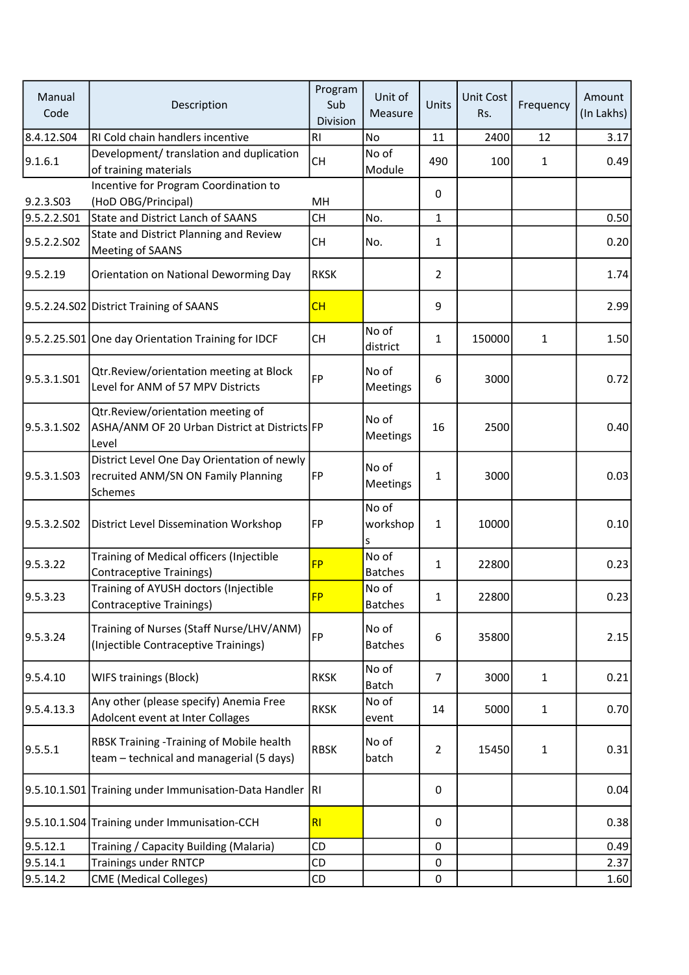| Manual<br>Code | Description                                                                                          | Program<br>Sub<br>Division | Unit of<br>Measure      | Units        | <b>Unit Cost</b><br>Rs. | Frequency    | Amount<br>(In Lakhs) |
|----------------|------------------------------------------------------------------------------------------------------|----------------------------|-------------------------|--------------|-------------------------|--------------|----------------------|
| 8.4.12.S04     | RI Cold chain handlers incentive                                                                     | RI                         | <b>No</b>               | 11           | 2400                    | 12           | 3.17                 |
| 9.1.6.1        | Development/ translation and duplication<br>of training materials                                    | <b>CH</b>                  | No of<br>Module         | 490          | 100                     | $\mathbf{1}$ | 0.49                 |
| 9.2.3.S03      | Incentive for Program Coordination to<br>(HoD OBG/Principal)                                         | MH                         |                         | 0            |                         |              |                      |
| 9.5.2.2.S01    | <b>State and District Lanch of SAANS</b>                                                             | <b>CH</b>                  | No.                     | $\mathbf{1}$ |                         |              | 0.50                 |
| 9.5.2.2.SO2    | State and District Planning and Review<br>Meeting of SAANS                                           | <b>CH</b>                  | No.                     | 1            |                         |              | 0.20                 |
| 9.5.2.19       | Orientation on National Deworming Day                                                                | <b>RKSK</b>                |                         | 2            |                         |              | 1.74                 |
|                | 9.5.2.24.S02 District Training of SAANS                                                              | CH                         |                         | 9            |                         |              | 2.99                 |
|                | 9.5.2.25.S01 One day Orientation Training for IDCF                                                   | <b>CH</b>                  | No of<br>district       | $\mathbf{1}$ | 150000                  | 1            | 1.50                 |
| 9.5.3.1.S01    | Qtr.Review/orientation meeting at Block<br>Level for ANM of 57 MPV Districts                         | FP                         | No of<br>Meetings       | 6            | 3000                    |              | 0.72                 |
| 9.5.3.1.S02    | Qtr.Review/orientation meeting of<br>ASHA/ANM OF 20 Urban District at Districts FP<br>Level          |                            | No of<br>Meetings       | 16           | 2500                    |              | 0.40                 |
| 9.5.3.1.S03    | District Level One Day Orientation of newly<br>recruited ANM/SN ON Family Planning<br><b>Schemes</b> | FP                         | No of<br>Meetings       | 1            | 3000                    |              | 0.03                 |
| 9.5.3.2.502    | District Level Dissemination Workshop                                                                | FP                         | No of<br>workshop<br>S  | 1            | 10000                   |              | 0.10                 |
| 9.5.3.22       | Training of Medical officers (Injectible<br><b>Contraceptive Trainings)</b>                          | <b>FP</b>                  | No of<br><b>Batches</b> | $\mathbf{1}$ | 22800                   |              | 0.23                 |
| 9.5.3.23       | Training of AYUSH doctors (Injectible<br>Contraceptive Trainings)                                    | <b>FP</b>                  | No of<br><b>Batches</b> | $\mathbf{1}$ | 22800                   |              | 0.23                 |
| 9.5.3.24       | Training of Nurses (Staff Nurse/LHV/ANM)<br>(Injectible Contraceptive Trainings)                     | FP                         | No of<br><b>Batches</b> | 6            | 35800                   |              | 2.15                 |
| 9.5.4.10       | <b>WIFS trainings (Block)</b>                                                                        | <b>RKSK</b>                | No of<br>Batch          | 7            | 3000                    | 1            | 0.21                 |
| 9.5.4.13.3     | Any other (please specify) Anemia Free<br>Adolcent event at Inter Collages                           | <b>RKSK</b>                | No of<br>event          | 14           | 5000                    | $\mathbf{1}$ | 0.70                 |
| 9.5.5.1        | RBSK Training -Training of Mobile health<br>team - technical and managerial (5 days)                 | <b>RBSK</b>                | No of<br>batch          | 2            | 15450                   | 1            | 0.31                 |
|                | 9.5.10.1.S01 Training under Immunisation-Data Handler                                                | RI                         |                         | 0            |                         |              | 0.04                 |
|                | 9.5.10.1.S04 Training under Immunisation-CCH                                                         | RI                         |                         | 0            |                         |              | 0.38                 |
| 9.5.12.1       | Training / Capacity Building (Malaria)                                                               | CD                         |                         | $\mathbf 0$  |                         |              | 0.49                 |
| 9.5.14.1       | <b>Trainings under RNTCP</b>                                                                         | CD                         |                         | 0            |                         |              | 2.37                 |
| 9.5.14.2       | <b>CME</b> (Medical Colleges)                                                                        | CD                         |                         | 0            |                         |              | 1.60                 |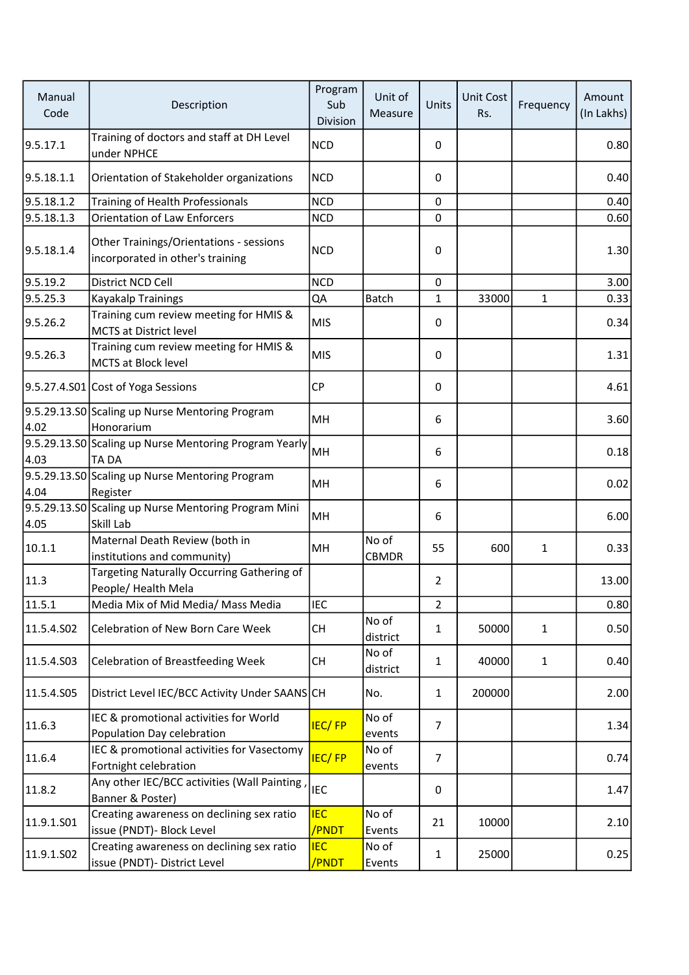| Manual<br>Code | Description                                                                 | Program<br>Sub<br>Division | Unit of<br>Measure    | Units          | Unit Cost<br>Rs. | Frequency    | Amount<br>(In Lakhs) |
|----------------|-----------------------------------------------------------------------------|----------------------------|-----------------------|----------------|------------------|--------------|----------------------|
| 9.5.17.1       | Training of doctors and staff at DH Level<br>under NPHCE                    | <b>NCD</b>                 |                       | 0              |                  |              | 0.80                 |
| 9.5.18.1.1     | Orientation of Stakeholder organizations                                    | <b>NCD</b>                 |                       | 0              |                  |              | 0.40                 |
| 9.5.18.1.2     | Training of Health Professionals                                            | <b>NCD</b>                 |                       | $\mathbf 0$    |                  |              | 0.40                 |
| 9.5.18.1.3     | <b>Orientation of Law Enforcers</b>                                         | <b>NCD</b>                 |                       | 0              |                  |              | 0.60                 |
| 9.5.18.1.4     | Other Trainings/Orientations - sessions<br>incorporated in other's training | <b>NCD</b>                 |                       | 0              |                  |              | 1.30                 |
| 9.5.19.2       | District NCD Cell                                                           | <b>NCD</b>                 |                       | 0              |                  |              | 3.00                 |
| 9.5.25.3       | <b>Kayakalp Trainings</b>                                                   | QA                         | Batch                 | $\mathbf{1}$   | 33000            | $\mathbf{1}$ | 0.33                 |
| 9.5.26.2       | Training cum review meeting for HMIS &<br><b>MCTS at District level</b>     | <b>MIS</b>                 |                       | 0              |                  |              | 0.34                 |
| 9.5.26.3       | Training cum review meeting for HMIS &<br><b>MCTS at Block level</b>        | <b>MIS</b>                 |                       | 0              |                  |              | 1.31                 |
|                | 9.5.27.4.S01 Cost of Yoga Sessions                                          | <b>CP</b>                  |                       | 0              |                  |              | 4.61                 |
| 4.02           | 9.5.29.13.S0 Scaling up Nurse Mentoring Program<br>Honorarium               | MH                         |                       | 6              |                  |              | 3.60                 |
| 4.03           | 9.5.29.13.S0 Scaling up Nurse Mentoring Program Yearly<br><b>TADA</b>       | MH                         |                       | 6              |                  |              | 0.18                 |
| 4.04           | 9.5.29.13.S0 Scaling up Nurse Mentoring Program<br>Register                 | MH                         |                       | 6              |                  |              | 0.02                 |
| 4.05           | 9.5.29.13.S0 Scaling up Nurse Mentoring Program Mini<br>Skill Lab           | MH                         |                       | 6              |                  |              | 6.00                 |
| 10.1.1         | Maternal Death Review (both in<br>institutions and community)               | MH                         | No of<br><b>CBMDR</b> | 55             | 600              | 1            | 0.33                 |
| 11.3           | Targeting Naturally Occurring Gathering of<br>People/ Health Mela           |                            |                       | $\overline{2}$ |                  |              | 13.00                |
| 11.5.1         | Media Mix of Mid Media/ Mass Media                                          | <b>IEC</b>                 |                       | $\overline{2}$ |                  |              | 0.80                 |
| 11.5.4.S02     | <b>Celebration of New Born Care Week</b>                                    | СH                         | No of<br>district     | 1              | 50000            | $\mathbf{1}$ | 0.50                 |
| 11.5.4.S03     | <b>Celebration of Breastfeeding Week</b>                                    | <b>CH</b>                  | No of<br>district     | $\mathbf{1}$   | 40000            | $\mathbf{1}$ | 0.40                 |
| 11.5.4.S05     | District Level IEC/BCC Activity Under SAANSCH                               |                            | No.                   | $\mathbf{1}$   | 200000           |              | 2.00                 |
| 11.6.3         | IEC & promotional activities for World<br>Population Day celebration        | <b>IEC/FP</b>              | No of<br>events       | $\overline{7}$ |                  |              | 1.34                 |
| 11.6.4         | IEC & promotional activities for Vasectomy<br>Fortnight celebration         | <b>IEC/FP</b>              | No of<br>events       | $\overline{7}$ |                  |              | 0.74                 |
| 11.8.2         | Any other IEC/BCC activities (Wall Painting,<br>Banner & Poster)            | <b>IEC</b>                 |                       | 0              |                  |              | 1.47                 |
| 11.9.1.S01     | Creating awareness on declining sex ratio<br>issue (PNDT)- Block Level      | <b>IEC</b><br>/PNDT        | No of<br>Events       | 21             | 10000            |              | 2.10                 |
| 11.9.1.S02     | Creating awareness on declining sex ratio<br>issue (PNDT)- District Level   | <b>IEC</b><br>/PNDT        | No of<br>Events       | $\mathbf{1}$   | 25000            |              | 0.25                 |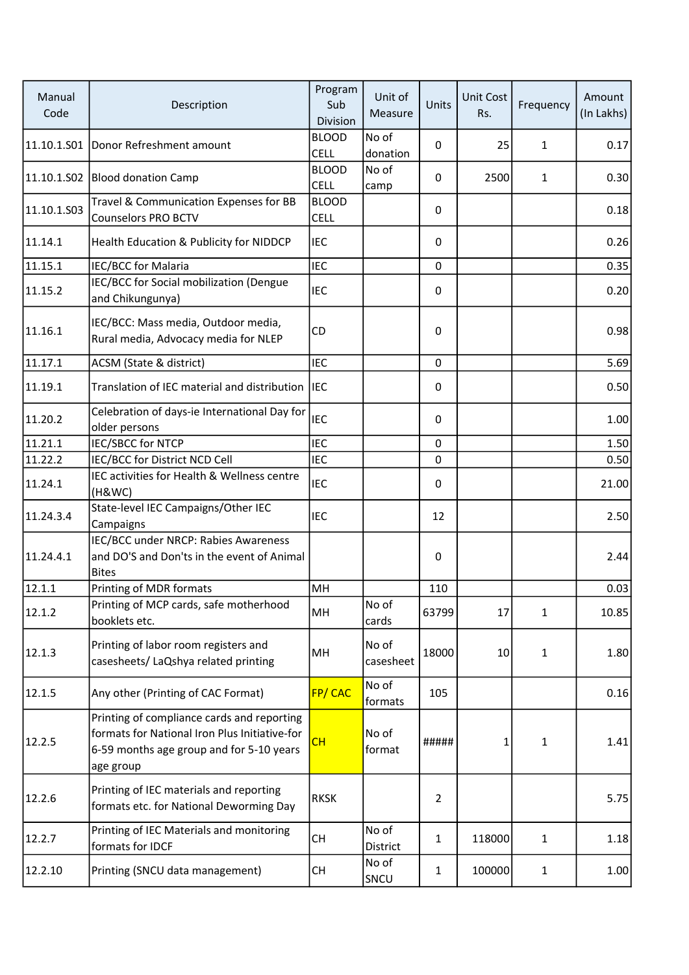| Manual<br>Code | Description                                                                                                                                          | Program<br>Sub<br><b>Division</b> | Unit of<br>Measure | Units          | Unit Cost<br>Rs. | Frequency    | Amount<br>(In Lakhs) |
|----------------|------------------------------------------------------------------------------------------------------------------------------------------------------|-----------------------------------|--------------------|----------------|------------------|--------------|----------------------|
| 11.10.1.S01    | Donor Refreshment amount                                                                                                                             | <b>BLOOD</b><br><b>CELL</b>       | No of<br>donation  | $\mathbf{0}$   | 25               | 1            | 0.17                 |
| 11.10.1.S02    | <b>Blood donation Camp</b>                                                                                                                           | <b>BLOOD</b><br><b>CELL</b>       | No of<br>camp      | 0              | 2500             | 1            | 0.30                 |
| 11.10.1.S03    | Travel & Communication Expenses for BB<br><b>Counselors PRO BCTV</b>                                                                                 | <b>BLOOD</b><br><b>CELL</b>       |                    | $\Omega$       |                  |              | 0.18                 |
| 11.14.1        | Health Education & Publicity for NIDDCP                                                                                                              | <b>IEC</b>                        |                    | $\mathbf{0}$   |                  |              | 0.26                 |
| 11.15.1        | IEC/BCC for Malaria                                                                                                                                  | <b>IEC</b>                        |                    | $\mathbf 0$    |                  |              | 0.35                 |
| 11.15.2        | IEC/BCC for Social mobilization (Dengue<br>and Chikungunya)                                                                                          | <b>IEC</b>                        |                    | 0              |                  |              | 0.20                 |
| 11.16.1        | IEC/BCC: Mass media, Outdoor media,<br>Rural media, Advocacy media for NLEP                                                                          | CD                                |                    | 0              |                  |              | 0.98                 |
| 11.17.1        | ACSM (State & district)                                                                                                                              | <b>IEC</b>                        |                    | $\mathbf 0$    |                  |              | 5.69                 |
| 11.19.1        | Translation of IEC material and distribution                                                                                                         | <b>IEC</b>                        |                    | 0              |                  |              | 0.50                 |
| 11.20.2        | Celebration of days-ie International Day for<br>older persons                                                                                        | <b>IEC</b>                        |                    | $\mathbf{0}$   |                  |              | 1.00                 |
| 11.21.1        | <b>IEC/SBCC for NTCP</b>                                                                                                                             | <b>IEC</b>                        |                    | $\mathbf 0$    |                  |              | 1.50                 |
| 11.22.2        | IEC/BCC for District NCD Cell                                                                                                                        | <b>IEC</b>                        |                    | 0              |                  |              | 0.50                 |
| 11.24.1        | IEC activities for Health & Wellness centre<br>(H&WC)                                                                                                | <b>IEC</b>                        |                    | 0              |                  |              | 21.00                |
| 11.24.3.4      | State-level IEC Campaigns/Other IEC<br>Campaigns                                                                                                     | <b>IEC</b>                        |                    | 12             |                  |              | 2.50                 |
| 11.24.4.1      | IEC/BCC under NRCP: Rabies Awareness<br>and DO'S and Don'ts in the event of Animal<br><b>Bites</b>                                                   |                                   |                    | 0              |                  |              | 2.44                 |
| 12.1.1         | Printing of MDR formats                                                                                                                              | MH                                |                    | 110            |                  |              | 0.03                 |
| 12.1.2         | Printing of MCP cards, safe motherhood<br>booklets etc.                                                                                              | MH                                | No of<br>cards     | 63799          | 17               | 1            | 10.85                |
| 12.1.3         | Printing of labor room registers and<br>casesheets/ LaQshya related printing                                                                         | MH                                | No of<br>casesheet | 18000          | 10               | 1            | 1.80                 |
| 12.1.5         | Any other (Printing of CAC Format)                                                                                                                   | <b>FP/CAC</b>                     | No of<br>formats   | 105            |                  |              | 0.16                 |
| 12.2.5         | Printing of compliance cards and reporting<br>formats for National Iron Plus Initiative-for<br>6-59 months age group and for 5-10 years<br>age group | CH                                | No of<br>format    | #####          | 1                | 1            | 1.41                 |
| 12.2.6         | Printing of IEC materials and reporting<br>formats etc. for National Deworming Day                                                                   | <b>RKSK</b>                       |                    | $\overline{2}$ |                  |              | 5.75                 |
| 12.2.7         | Printing of IEC Materials and monitoring<br>formats for IDCF                                                                                         | <b>CH</b>                         | No of<br>District  | $\mathbf{1}$   | 118000           | $\mathbf{1}$ | 1.18                 |
| 12.2.10        | Printing (SNCU data management)                                                                                                                      | <b>CH</b>                         | No of<br>SNCU      | $\mathbf{1}$   | 100000           | $\mathbf{1}$ | 1.00                 |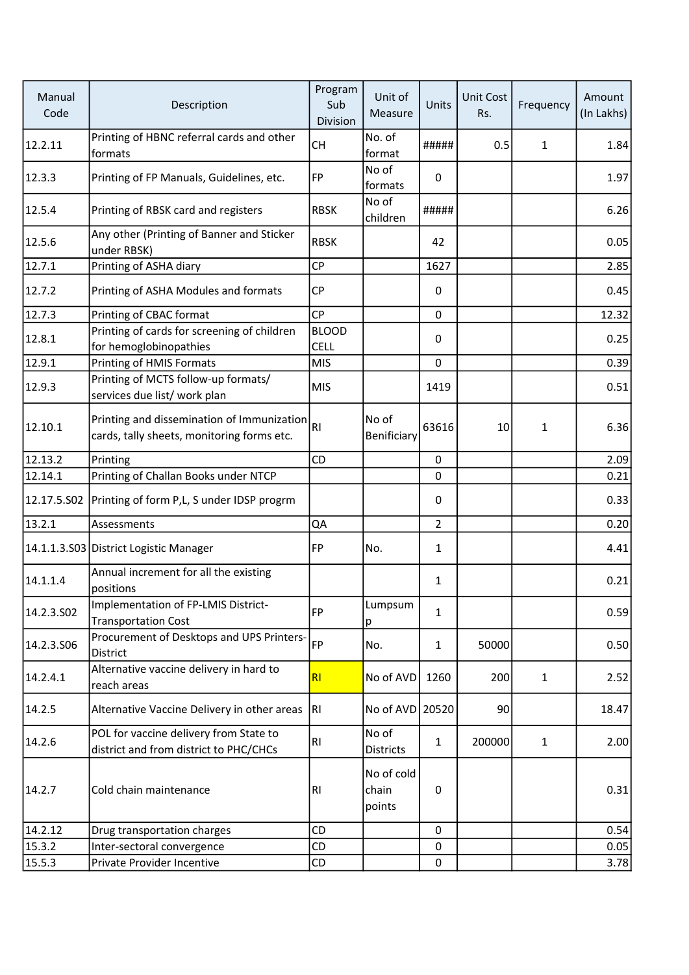| Manual<br>Code | Description                                                                              | Program<br>Sub<br>Division  | Unit of<br>Measure            | Units          | <b>Unit Cost</b><br>Rs. | Frequency    | Amount<br>(In Lakhs) |
|----------------|------------------------------------------------------------------------------------------|-----------------------------|-------------------------------|----------------|-------------------------|--------------|----------------------|
| 12.2.11        | Printing of HBNC referral cards and other<br>formats                                     | CH                          | No. of<br>format              | #####          | 0.5                     | 1            | 1.84                 |
| 12.3.3         | Printing of FP Manuals, Guidelines, etc.                                                 | FP                          | No of<br>formats              | 0              |                         |              | 1.97                 |
| 12.5.4         | Printing of RBSK card and registers                                                      | <b>RBSK</b>                 | No of<br>children             | #####          |                         |              | 6.26                 |
| 12.5.6         | Any other (Printing of Banner and Sticker<br>under RBSK)                                 | <b>RBSK</b>                 |                               | 42             |                         |              | 0.05                 |
| 12.7.1         | Printing of ASHA diary                                                                   | <b>CP</b>                   |                               | 1627           |                         |              | 2.85                 |
| 12.7.2         | Printing of ASHA Modules and formats                                                     | <b>CP</b>                   |                               | 0              |                         |              | 0.45                 |
| 12.7.3         | Printing of CBAC format                                                                  | CP                          |                               | $\mathbf 0$    |                         |              | 12.32                |
| 12.8.1         | Printing of cards for screening of children<br>for hemoglobinopathies                    | <b>BLOOD</b><br><b>CELL</b> |                               | 0              |                         |              | 0.25                 |
| 12.9.1         | Printing of HMIS Formats                                                                 | <b>MIS</b>                  |                               | $\mathbf{0}$   |                         |              | 0.39                 |
| 12.9.3         | Printing of MCTS follow-up formats/<br>services due list/ work plan                      | <b>MIS</b>                  |                               | 1419           |                         |              | 0.51                 |
| 12.10.1        | Printing and dissemination of Immunization<br>cards, tally sheets, monitoring forms etc. | R <sub>1</sub>              | No of<br>Benificiary          | 63616          | 10                      | 1            | 6.36                 |
| 12.13.2        | Printing                                                                                 | CD                          |                               | $\mathbf{0}$   |                         |              | 2.09                 |
| 12.14.1        | Printing of Challan Books under NTCP                                                     |                             |                               | 0              |                         |              | 0.21                 |
|                | 12.17.5.S02 Printing of form P,L, S under IDSP progrm                                    |                             |                               | 0              |                         |              | 0.33                 |
| 13.2.1         | Assessments                                                                              | <b>QA</b>                   |                               | $\overline{2}$ |                         |              | 0.20                 |
|                | 14.1.1.3.S03 District Logistic Manager                                                   | FP                          | No.                           | $\mathbf{1}$   |                         |              | 4.41                 |
| 14.1.1.4       | Annual increment for all the existing<br>positions                                       |                             |                               | $\mathbf{1}$   |                         |              | 0.21                 |
| 14.2.3.502     | Implementation of FP-LMIS District-<br><b>Transportation Cost</b>                        | FP                          | Lumpsum<br>р                  | 1              |                         |              | 0.59                 |
| 14.2.3.506     | Procurement of Desktops and UPS Printers-<br>District                                    | <b>FP</b>                   | No.                           | $\mathbf{1}$   | 50000                   |              | 0.50                 |
| 14.2.4.1       | Alternative vaccine delivery in hard to<br>reach areas                                   | RI                          | No of AVD                     | 1260           | 200                     | $\mathbf{1}$ | 2.52                 |
| 14.2.5         | Alternative Vaccine Delivery in other areas                                              | RI.                         | No of AVD 20520               |                | 90                      |              | 18.47                |
| 14.2.6         | POL for vaccine delivery from State to<br>district and from district to PHC/CHCs         | RI                          | No of<br><b>Districts</b>     | $\mathbf{1}$   | 200000                  | 1            | 2.00                 |
| 14.2.7         | Cold chain maintenance                                                                   | RI                          | No of cold<br>chain<br>points | 0              |                         |              | 0.31                 |
| 14.2.12        | Drug transportation charges                                                              | CD                          |                               | $\mathbf 0$    |                         |              | 0.54                 |
| 15.3.2         | Inter-sectoral convergence                                                               | CD                          |                               | $\mathbf 0$    |                         |              | 0.05                 |
| 15.5.3         | Private Provider Incentive                                                               | CD                          |                               | $\mathbf 0$    |                         |              | 3.78                 |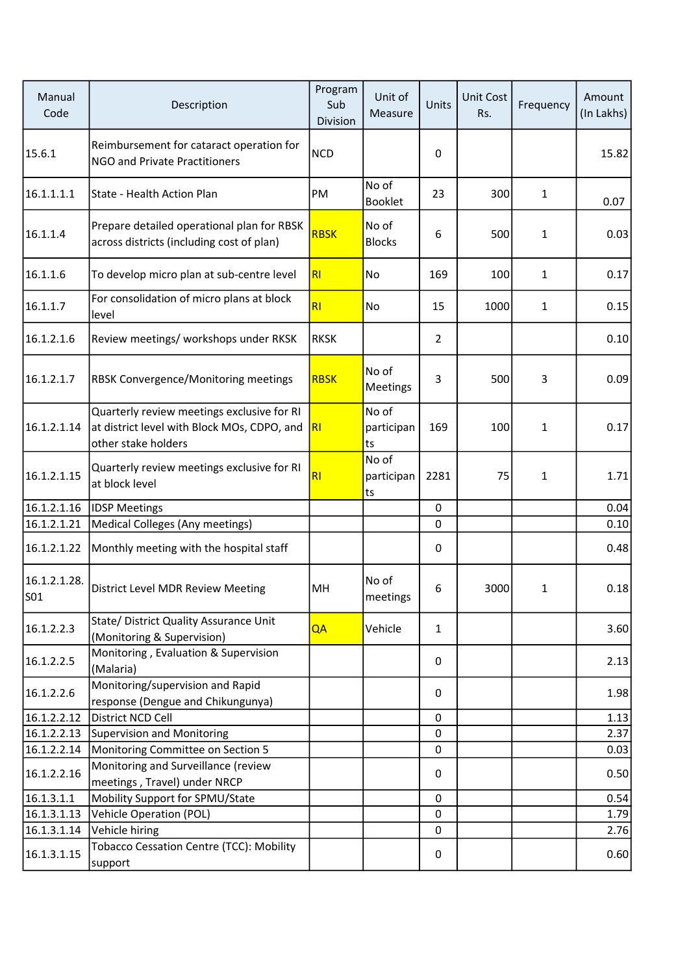| Manual<br>Code      | Description                                                                                                      | Program<br>Sub<br>Division | Unit of<br>Measure        | Units          | Unit Cost<br>Rs. | Frequency | Amount<br>(In Lakhs) |
|---------------------|------------------------------------------------------------------------------------------------------------------|----------------------------|---------------------------|----------------|------------------|-----------|----------------------|
| 15.6.1              | Reimbursement for cataract operation for<br><b>NGO and Private Practitioners</b>                                 | <b>NCD</b>                 |                           | 0              |                  |           | 15.82                |
| 16.1.1.1.1          | State - Health Action Plan                                                                                       | PM                         | No of<br>Booklet          | 23             | 300              | 1         | 0.07                 |
| 16.1.1.4            | Prepare detailed operational plan for RBSK<br>across districts (including cost of plan)                          | <b>RBSK</b>                | No of<br><b>Blocks</b>    | 6              | 500              | 1         | 0.03                 |
| 16.1.1.6            | To develop micro plan at sub-centre level                                                                        | R1                         | No                        | 169            | 100              | 1         | 0.17                 |
| 16.1.1.7            | For consolidation of micro plans at block<br>level                                                               | R1                         | No                        | 15             | 1000             | 1         | 0.15                 |
| 16.1.2.1.6          | Review meetings/ workshops under RKSK                                                                            | <b>RKSK</b>                |                           | $\overline{2}$ |                  |           | 0.10                 |
| 16.1.2.1.7          | RBSK Convergence/Monitoring meetings                                                                             | <b>RBSK</b>                | No of<br>Meetings         | 3              | 500              | 3         | 0.09                 |
| 16.1.2.1.14         | Quarterly review meetings exclusive for RI<br>at district level with Block MOs, CDPO, and<br>other stake holders | R1                         | No of<br>participan<br>ts | 169            | 100              | 1         | 0.17                 |
| 16.1.2.1.15         | Quarterly review meetings exclusive for RI<br>at block level                                                     | R1                         | No of<br>participan<br>ts | 2281           | 75               | 1         | 1.71                 |
| 16.1.2.1.16         | <b>IDSP Meetings</b>                                                                                             |                            |                           | $\mathbf 0$    |                  |           | 0.04                 |
| 16.1.2.1.21         | Medical Colleges (Any meetings)                                                                                  |                            |                           | 0              |                  |           | 0.10                 |
| 16.1.2.1.22         | Monthly meeting with the hospital staff                                                                          |                            |                           | 0              |                  |           | 0.48                 |
| 16.1.2.1.28.<br>S01 | District Level MDR Review Meeting                                                                                | MН                         | No of<br>meetings         | 6              | 3000             | 1         | 0.18                 |
| 16.1.2.2.3          | State/ District Quality Assurance Unit<br>(Monitoring & Supervision)                                             | QA                         | Vehicle                   | $\mathbf{1}$   |                  |           | 3.60                 |
| 16.1.2.2.5          | Monitoring, Evaluation & Supervision<br>(Malaria)                                                                |                            |                           | 0              |                  |           | 2.13                 |
| 16.1.2.2.6          | Monitoring/supervision and Rapid<br>response (Dengue and Chikungunya)                                            |                            |                           | 0              |                  |           | 1.98                 |
| 16.1.2.2.12         | District NCD Cell                                                                                                |                            |                           | 0              |                  |           | 1.13                 |
| 16.1.2.2.13         | <b>Supervision and Monitoring</b>                                                                                |                            |                           | 0              |                  |           | 2.37                 |
| 16.1.2.2.14         | Monitoring Committee on Section 5                                                                                |                            |                           | 0              |                  |           | 0.03                 |
| 16.1.2.2.16         | Monitoring and Surveillance (review                                                                              |                            |                           | 0              |                  |           | 0.50                 |
|                     | meetings, Travel) under NRCP                                                                                     |                            |                           |                |                  |           |                      |
| 16.1.3.1.1          | Mobility Support for SPMU/State                                                                                  |                            |                           | 0              |                  |           | 0.54                 |
| 16.1.3.1.13         | Vehicle Operation (POL)                                                                                          |                            |                           | $\mathbf{0}$   |                  |           | 1.79                 |
| 16.1.3.1.14         | Vehicle hiring                                                                                                   |                            |                           | 0              |                  |           | 2.76                 |
| 16.1.3.1.15         | <b>Tobacco Cessation Centre (TCC): Mobility</b><br>support                                                       |                            |                           | 0              |                  |           | 0.60                 |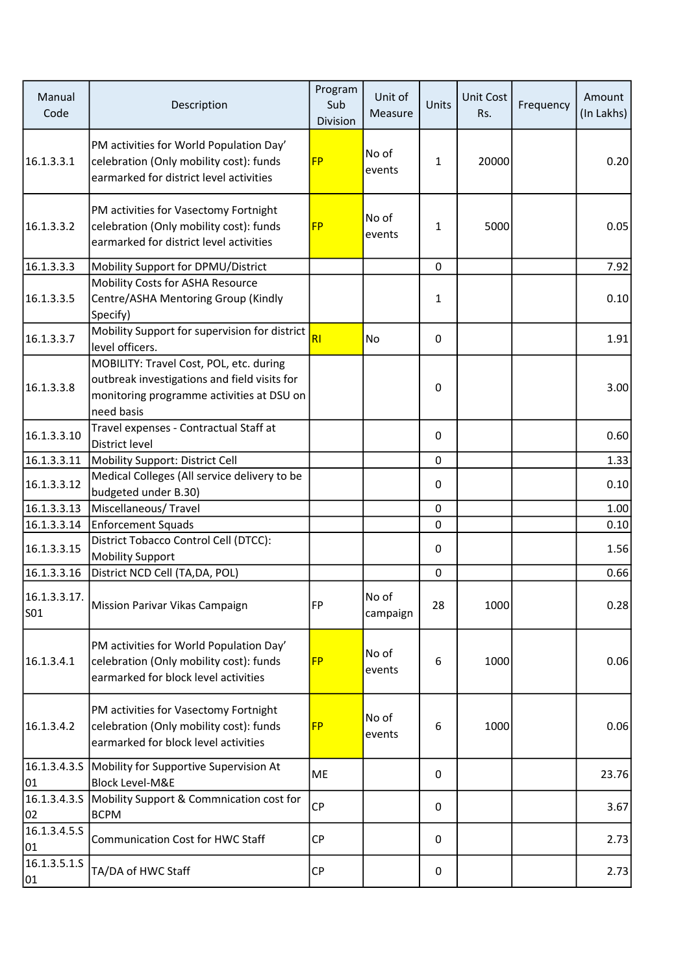| Manual<br>Code                  | Description                                                                                                                                        | Program<br>Sub<br>Division | Unit of<br>Measure | Units        | Unit Cost<br>Rs. | Frequency | Amount<br>(In Lakhs) |
|---------------------------------|----------------------------------------------------------------------------------------------------------------------------------------------------|----------------------------|--------------------|--------------|------------------|-----------|----------------------|
| 16.1.3.3.1                      | PM activities for World Population Day'<br>celebration (Only mobility cost): funds<br>earmarked for district level activities                      | <b>FP</b>                  | No of<br>events    | $\mathbf{1}$ | 20000            |           | 0.20                 |
| 16.1.3.3.2                      | PM activities for Vasectomy Fortnight<br>celebration (Only mobility cost): funds<br>earmarked for district level activities                        | <b>FP</b>                  | No of<br>events    | 1            | 5000             |           | 0.05                 |
| 16.1.3.3.3                      | Mobility Support for DPMU/District                                                                                                                 |                            |                    | $\mathbf 0$  |                  |           | 7.92                 |
| 16.1.3.3.5                      | Mobility Costs for ASHA Resource<br>Centre/ASHA Mentoring Group (Kindly<br>Specify)                                                                |                            |                    | 1            |                  |           | 0.10                 |
| 16.1.3.3.7                      | Mobility Support for supervision for district<br>level officers.                                                                                   | <b>RI</b>                  | No                 | 0            |                  |           | 1.91                 |
| 16.1.3.3.8                      | MOBILITY: Travel Cost, POL, etc. during<br>outbreak investigations and field visits for<br>monitoring programme activities at DSU on<br>need basis |                            |                    | 0            |                  |           | 3.00                 |
| 16.1.3.3.10                     | Travel expenses - Contractual Staff at<br>District level                                                                                           |                            |                    | $\Omega$     |                  |           | 0.60                 |
| 16.1.3.3.11                     | Mobility Support: District Cell                                                                                                                    |                            |                    | $\mathbf 0$  |                  |           | 1.33                 |
| 16.1.3.3.12                     | Medical Colleges (All service delivery to be<br>budgeted under B.30)                                                                               |                            |                    | 0            |                  |           | 0.10                 |
| 16.1.3.3.13                     | Miscellaneous/Travel                                                                                                                               |                            |                    | $\mathbf 0$  |                  |           | 1.00                 |
| 16.1.3.3.14                     | <b>Enforcement Squads</b>                                                                                                                          |                            |                    | 0            |                  |           | 0.10                 |
| 16.1.3.3.15                     | District Tobacco Control Cell (DTCC):<br><b>Mobility Support</b>                                                                                   |                            |                    | 0            |                  |           | 1.56                 |
| 16.1.3.3.16                     | District NCD Cell (TA, DA, POL)                                                                                                                    |                            |                    | $\mathbf 0$  |                  |           | 0.66                 |
| 16.1.3.3.17.<br>S <sub>01</sub> | Mission Parivar Vikas Campaign                                                                                                                     | FP                         | No of<br>campaign  | 28           | 1000             |           | 0.28                 |
| 16.1.3.4.1                      | PM activities for World Population Day'<br>celebration (Only mobility cost): funds<br>earmarked for block level activities                         | <b>FP</b>                  | No of<br>events    | 6            | 1000             |           | 0.06                 |
| 16.1.3.4.2                      | PM activities for Vasectomy Fortnight<br>celebration (Only mobility cost): funds<br>earmarked for block level activities                           | <b>FP</b>                  | No of<br>events    | 6            | 1000             |           | 0.06                 |
| 16.1.3.4.3.S<br>01              | Mobility for Supportive Supervision At<br><b>Block Level-M&amp;E</b>                                                                               | ME                         |                    | 0            |                  |           | 23.76                |
| 16.1.3.4.3.5<br>02              | Mobility Support & Commnication cost for<br><b>BCPM</b>                                                                                            | CP                         |                    | 0            |                  |           | 3.67                 |
| 16.1.3.4.5.5<br>01              | <b>Communication Cost for HWC Staff</b>                                                                                                            | <b>CP</b>                  |                    | 0            |                  |           | 2.73                 |
| 16.1.3.5.1.5<br>01              | TA/DA of HWC Staff                                                                                                                                 | <b>CP</b>                  |                    | 0            |                  |           | 2.73                 |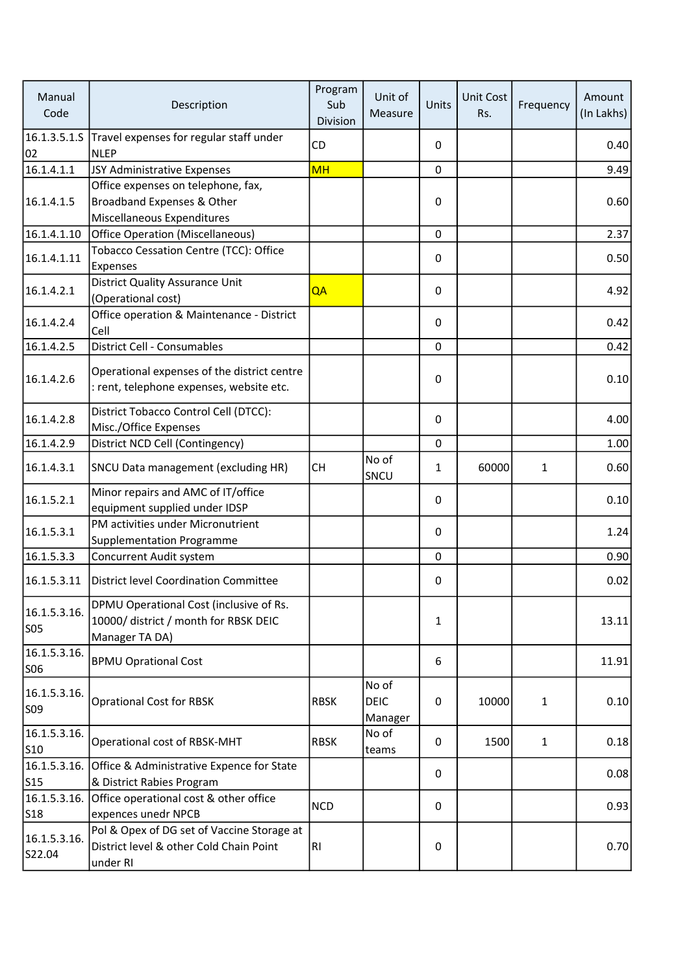| Manual<br>Code                  | Description                                                                                        | Program<br>Sub<br>Division | Unit of<br>Measure              | Units        | Unit Cost<br>Rs. | Frequency    | Amount<br>(In Lakhs) |
|---------------------------------|----------------------------------------------------------------------------------------------------|----------------------------|---------------------------------|--------------|------------------|--------------|----------------------|
| 02                              | 16.1.3.5.1.S Travel expenses for regular staff under<br><b>NLEP</b>                                | CD                         |                                 | 0            |                  |              | 0.40                 |
| 16.1.4.1.1                      | JSY Administrative Expenses                                                                        | <b>MH</b>                  |                                 | 0            |                  |              | 9.49                 |
| 16.1.4.1.5                      | Office expenses on telephone, fax,<br>Broadband Expenses & Other<br>Miscellaneous Expenditures     |                            |                                 | 0            |                  |              | 0.60                 |
| 16.1.4.1.10                     | <b>Office Operation (Miscellaneous)</b>                                                            |                            |                                 | 0            |                  |              | 2.37                 |
| 16.1.4.1.11                     | Tobacco Cessation Centre (TCC): Office<br>Expenses                                                 |                            |                                 | 0            |                  |              | 0.50                 |
| 16.1.4.2.1                      | <b>District Quality Assurance Unit</b><br>(Operational cost)                                       | QA                         |                                 | 0            |                  |              | 4.92                 |
| 16.1.4.2.4                      | Office operation & Maintenance - District<br>Cell                                                  |                            |                                 | $\mathbf{0}$ |                  |              | 0.42                 |
| 16.1.4.2.5                      | District Cell - Consumables                                                                        |                            |                                 | 0            |                  |              | 0.42                 |
| 16.1.4.2.6                      | Operational expenses of the district centre<br>: rent, telephone expenses, website etc.            |                            |                                 | 0            |                  |              | 0.10                 |
| 16.1.4.2.8                      | District Tobacco Control Cell (DTCC):<br>Misc./Office Expenses                                     |                            |                                 | $\mathbf{0}$ |                  |              | 4.00                 |
| 16.1.4.2.9                      | District NCD Cell (Contingency)                                                                    |                            |                                 | $\mathbf 0$  |                  |              | 1.00                 |
| 16.1.4.3.1                      | SNCU Data management (excluding HR)                                                                | <b>CH</b>                  | No of<br>SNCU                   | $\mathbf{1}$ | 60000            | $\mathbf{1}$ | 0.60                 |
| 16.1.5.2.1                      | Minor repairs and AMC of IT/office<br>equipment supplied under IDSP                                |                            |                                 | $\mathbf{0}$ |                  |              | 0.10                 |
| 16.1.5.3.1                      | PM activities under Micronutrient<br><b>Supplementation Programme</b>                              |                            |                                 | $\mathbf{0}$ |                  |              | 1.24                 |
| 16.1.5.3.3                      | Concurrent Audit system                                                                            |                            |                                 | 0            |                  |              | 0.90                 |
| 16.1.5.3.11                     | District level Coordination Committee                                                              |                            |                                 | 0            |                  |              | 0.02                 |
| 16.1.5.3.16.<br>SO5             | DPMU Operational Cost (inclusive of Rs.<br>10000/ district / month for RBSK DEIC<br>Manager TA DA) |                            |                                 | 1            |                  |              | 13.11                |
| 16.1.5.3.16.<br>S <sub>06</sub> | <b>BPMU Oprational Cost</b>                                                                        |                            |                                 | 6            |                  |              | 11.91                |
| 16.1.5.3.16.<br>S09             | <b>Oprational Cost for RBSK</b>                                                                    | <b>RBSK</b>                | No of<br><b>DEIC</b><br>Manager | 0            | 10000            | 1            | 0.10                 |
| 16.1.5.3.16.<br>S10             | Operational cost of RBSK-MHT                                                                       | <b>RBSK</b>                | No of<br>teams                  | 0            | 1500             | 1            | 0.18                 |
| 16.1.5.3.16.<br>S15             | Office & Administrative Expence for State<br>& District Rabies Program                             |                            |                                 | 0            |                  |              | 0.08                 |
| 16.1.5.3.16.<br>S <sub>18</sub> | Office operational cost & other office<br>expences unedr NPCB                                      | <b>NCD</b>                 |                                 | 0            |                  |              | 0.93                 |
| 16.1.5.3.16.<br>S22.04          | Pol & Opex of DG set of Vaccine Storage at<br>District level & other Cold Chain Point<br>under RI  | RI.                        |                                 | 0            |                  |              | 0.70                 |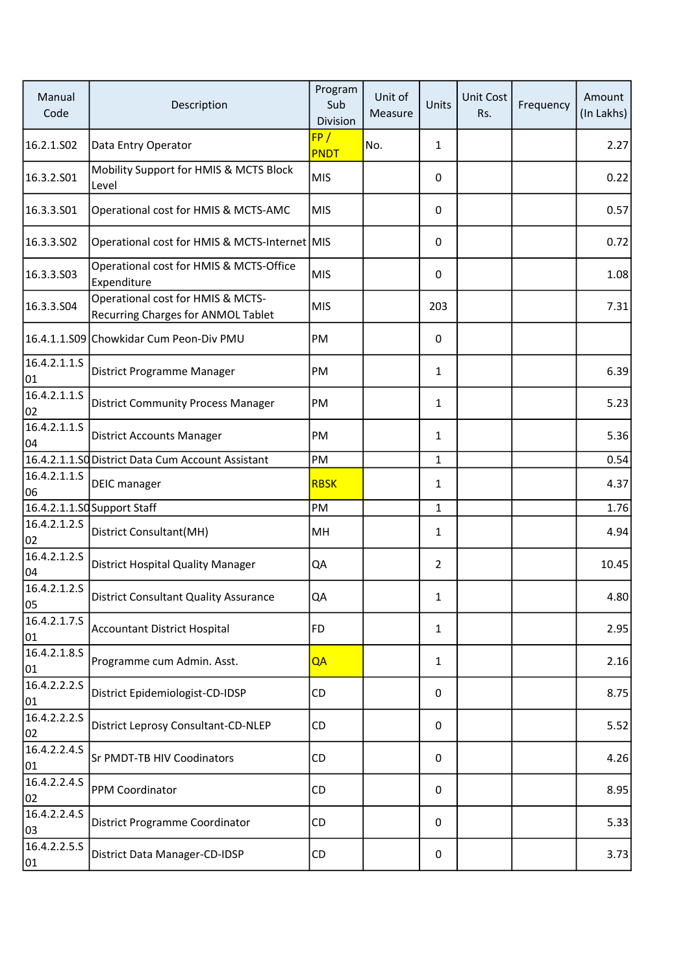| Manual<br>Code               | Description                                                             | Program<br>Sub<br>Division | Unit of<br>Measure | Units          | Unit Cost<br>Rs. | Frequency | Amount<br>(In Lakhs) |
|------------------------------|-------------------------------------------------------------------------|----------------------------|--------------------|----------------|------------------|-----------|----------------------|
| 16.2.1.S02                   | Data Entry Operator                                                     | FP/<br><b>PNDT</b>         | No.                | $\mathbf{1}$   |                  |           | 2.27                 |
| 16.3.2.S01                   | Mobility Support for HMIS & MCTS Block<br>Level                         | <b>MIS</b>                 |                    | 0              |                  |           | 0.22                 |
| 16.3.3.501                   | Operational cost for HMIS & MCTS-AMC                                    | <b>MIS</b>                 |                    | $\Omega$       |                  |           | 0.57                 |
| 16.3.3.502                   | Operational cost for HMIS & MCTS-Internet MIS                           |                            |                    | 0              |                  |           | 0.72                 |
| 16.3.3.503                   | Operational cost for HMIS & MCTS-Office<br>Expenditure                  | <b>MIS</b>                 |                    | 0              |                  |           | 1.08                 |
| 16.3.3.504                   | Operational cost for HMIS & MCTS-<br>Recurring Charges for ANMOL Tablet | <b>MIS</b>                 |                    | 203            |                  |           | 7.31                 |
|                              | 16.4.1.1.S09 Chowkidar Cum Peon-Div PMU                                 | PM                         |                    | 0              |                  |           |                      |
| 16.4.2.1.1.5<br>01           | District Programme Manager                                              | PM                         |                    | $\mathbf{1}$   |                  |           | 6.39                 |
| 16.4.2.1.1.5<br>02           | <b>District Community Process Manager</b>                               | PM                         |                    | $\mathbf{1}$   |                  |           | 5.23                 |
| 16.4.2.1.1.5<br>04           | <b>District Accounts Manager</b>                                        | PM                         |                    | $\mathbf{1}$   |                  |           | 5.36                 |
|                              | 16.4.2.1.1.SQ District Data Cum Account Assistant                       | PM                         |                    | $\mathbf{1}$   |                  |           | 0.54                 |
| 16.4.2.1.1.5<br>06           | <b>DEIC</b> manager                                                     | <b>RBSK</b>                |                    | $\mathbf{1}$   |                  |           | 4.37                 |
|                              | 16.4.2.1.1.SQSupport Staff                                              | PM                         |                    | $\mathbf{1}$   |                  |           | 1.76                 |
| 16.4.2.1.2.5<br>02           | District Consultant(MH)                                                 | MH                         |                    | $\mathbf{1}$   |                  |           | 4.94                 |
| $\sqrt{16}$ .4.2.1.2.5<br>04 | District Hospital Quality Manager                                       | QA                         |                    | $\overline{2}$ |                  |           | 10.45                |
| 16.4.2.1.2.5<br>05           | <b>District Consultant Quality Assurance</b>                            | QA                         |                    | $\mathbf{1}$   |                  |           | 4.80                 |
| 16.4.2.1.7.5<br>01           | <b>Accountant District Hospital</b>                                     | <b>FD</b>                  |                    | 1              |                  |           | 2.95                 |
| 16.4.2.1.8.5<br>01           | Programme cum Admin. Asst.                                              | QA                         |                    | $\mathbf{1}$   |                  |           | 2.16                 |
| 16.4.2.2.2.5<br>01           | District Epidemiologist-CD-IDSP                                         | CD                         |                    | 0              |                  |           | 8.75                 |
| 16.4.2.2.2.5<br>02           | District Leprosy Consultant-CD-NLEP                                     | CD                         |                    | 0              |                  |           | 5.52                 |
| 16.4.2.2.4.5<br>01           | Sr PMDT-TB HIV Coodinators                                              | CD                         |                    | 0              |                  |           | 4.26                 |
| 16.4.2.2.4.5<br>02           | PPM Coordinator                                                         | CD                         |                    | 0              |                  |           | 8.95                 |
| 16.4.2.2.4.5<br>03           | District Programme Coordinator                                          | CD                         |                    | 0              |                  |           | 5.33                 |
| 16.4.2.2.5.5<br>01           | District Data Manager-CD-IDSP                                           | CD                         |                    | 0              |                  |           | 3.73                 |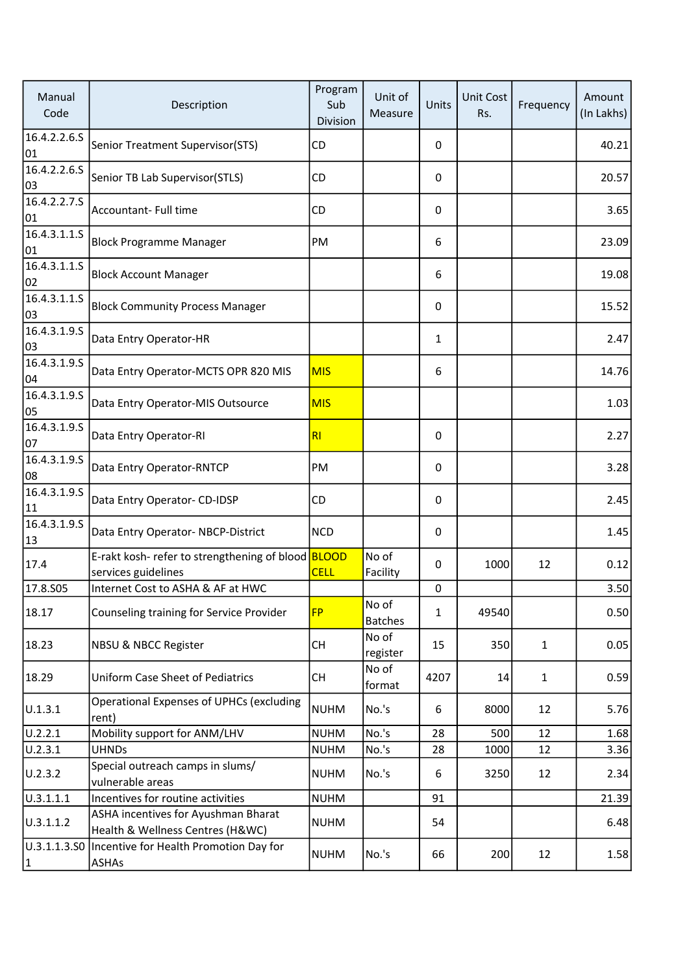| Manual<br>Code             | Description                                                               | Program<br>Sub<br>Division | Unit of<br>Measure      | Units        | <b>Unit Cost</b><br>Rs. | Frequency    | Amount<br>(In Lakhs) |
|----------------------------|---------------------------------------------------------------------------|----------------------------|-------------------------|--------------|-------------------------|--------------|----------------------|
| 16.4.2.2.6.5<br>01         | Senior Treatment Supervisor(STS)                                          | CD                         |                         | 0            |                         |              | 40.21                |
| 16.4.2.2.6.5<br>03         | Senior TB Lab Supervisor(STLS)                                            | CD                         |                         | 0            |                         |              | 20.57                |
| 16.4.2.2.7.5<br>01         | Accountant- Full time                                                     | CD                         |                         | 0            |                         |              | 3.65                 |
| 16.4.3.1.1.5<br>01         | <b>Block Programme Manager</b>                                            | PM                         |                         | 6            |                         |              | 23.09                |
| 16.4.3.1.1.5<br>02         | <b>Block Account Manager</b>                                              |                            |                         | 6            |                         |              | 19.08                |
| 16.4.3.1.1.S<br>03         | <b>Block Community Process Manager</b>                                    |                            |                         | 0            |                         |              | 15.52                |
| 16.4.3.1.9.5<br>03         | Data Entry Operator-HR                                                    |                            |                         | $\mathbf{1}$ |                         |              | 2.47                 |
| 16.4.3.1.9.5<br>04         | Data Entry Operator-MCTS OPR 820 MIS                                      | <b>MIS</b>                 |                         | 6            |                         |              | 14.76                |
| 16.4.3.1.9.5<br>05         | Data Entry Operator-MIS Outsource                                         | <b>MIS</b>                 |                         |              |                         |              | 1.03                 |
| 16.4.3.1.9.5<br>07         | Data Entry Operator-RI                                                    | RI                         |                         | 0            |                         |              | 2.27                 |
| 16.4.3.1.9.5<br>08         | Data Entry Operator-RNTCP                                                 | PM                         |                         | 0            |                         |              | 3.28                 |
| 16.4.3.1.9.5<br>11         | Data Entry Operator- CD-IDSP                                              | CD                         |                         | 0            |                         |              | 2.45                 |
| 16.4.3.1.9.5<br>13         | Data Entry Operator-NBCP-District                                         | <b>NCD</b>                 |                         | 0            |                         |              | 1.45                 |
| 17.4                       | E-rakt kosh- refer to strengthening of blood BLOOD<br>services guidelines | <b>CELL</b>                | No of<br>Facility       | 0            | 1000                    | 12           | 0.12                 |
| 17.8.S05                   | Internet Cost to ASHA & AF at HWC                                         |                            |                         | 0            |                         |              | 3.50                 |
| 18.17                      | Counseling training for Service Provider                                  | <b>FP</b>                  | No of<br><b>Batches</b> | $\mathbf{1}$ | 49540                   |              | 0.50                 |
| 18.23                      | NBSU & NBCC Register                                                      | <b>CH</b>                  | No of<br>register       | 15           | 350                     | $\mathbf{1}$ | 0.05                 |
| 18.29                      | <b>Uniform Case Sheet of Pediatrics</b>                                   | CH                         | No of<br>format         | 4207         | 14                      | $\mathbf{1}$ | 0.59                 |
| U.1.3.1                    | <b>Operational Expenses of UPHCs (excluding</b><br>rent)                  | <b>NUHM</b>                | No.'s                   | 6            | 8000                    | 12           | 5.76                 |
| U.2.2.1                    | Mobility support for ANM/LHV                                              | <b>NUHM</b>                | No.'s                   | 28           | 500                     | 12           | 1.68                 |
| U.2.3.1                    | <b>UHNDs</b>                                                              | <b>NUHM</b>                | No.'s                   | 28           | 1000                    | 12           | 3.36                 |
| U.2.3.2                    | Special outreach camps in slums/<br>vulnerable areas                      | <b>NUHM</b>                | No.'s                   | 6            | 3250                    | 12           | 2.34                 |
| 0.3.1.1.1                  | Incentives for routine activities                                         | <b>NUHM</b>                |                         | 91           |                         |              | 21.39                |
| U.3.1.1.2                  | ASHA incentives for Ayushman Bharat<br>Health & Wellness Centres (H&WC)   | <b>NUHM</b>                |                         | 54           |                         |              | 6.48                 |
| 0.3.1.1.3.50 <br>$\vert$ 1 | Incentive for Health Promotion Day for<br><b>ASHAs</b>                    | <b>NUHM</b>                | No.'s                   | 66           | 200                     | 12           | 1.58                 |